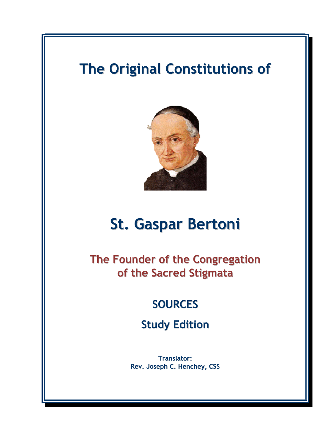# The Original Constitutions of



# St. Gaspar Bertoni

The Founder of the Congregation of the Sacred Stigmata

# **SOURCES**

Study Edition

Translator: Rev. Joseph C. Henchey, CSS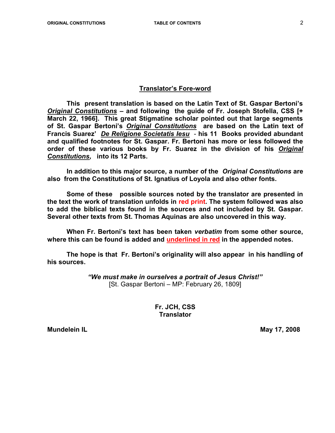#### Translator's Fore-word

 This present translation is based on the Latin Text of St. Gaspar Bertoni's Original Constitutions – and following the guide of Fr. Joseph Stofella, CSS [+ March 22, 1966]. This great Stigmatine scholar pointed out that large segments of St. Gaspar Bertoni's Original Constitutions are based on the Latin text of Francis Suarez' De Religione Societatis Iesu - his 11 Books provided abundant and qualified footnotes for St. Gaspar. Fr. Bertoni has more or less followed the order of these various books by Fr. Suarez in the division of his Original Constitutions, into its 12 Parts.

 In addition to this major source, a number of the Original Constitutions are also from the Constitutions of St. Ignatius of Loyola and also other fonts.

Some of these possible sources noted by the translator are presented in the text the work of translation unfolds in red print. The system followed was also to add the biblical texts found in the sources and not included by St. Gaspar. Several other texts from St. Thomas Aquinas are also uncovered in this way.

When Fr. Bertoni's text has been taken verbatim from some other source, where this can be found is added and underlined in red in the appended notes.

The hope is that Fr. Bertoni's originality will also appear in his handling of his sources.

> "We must make in ourselves a portrait of Jesus Christ!" [St. Gaspar Bertoni – MP: February 26, 1809]

> > Fr. JCH, CSS **Translator**

Mundelein IL **Mundelein IL** May 17, 2008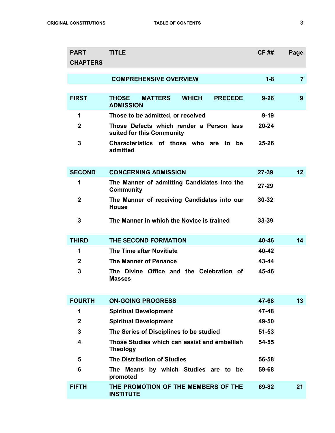| <b>PART</b><br><b>CHAPTERS</b> | <b>TITLE</b>                                                                         | <b>CF##</b> | Page           |
|--------------------------------|--------------------------------------------------------------------------------------|-------------|----------------|
|                                | <b>COMPREHENSIVE OVERVIEW</b>                                                        | $1 - 8$     | $\overline{7}$ |
| <b>FIRST</b>                   | <b>THOSE</b><br><b>MATTERS</b><br><b>WHICH</b><br><b>PRECEDE</b><br><b>ADMISSION</b> | $9 - 26$    | 9              |
| 1                              | Those to be admitted, or received                                                    | $9 - 19$    |                |
| $\mathbf{2}$                   | Those Defects which render a Person less<br>suited for this Community                | $20 - 24$   |                |
| 3                              | Characteristics of those who are to be<br>admitted                                   | $25 - 26$   |                |
| <b>SECOND</b>                  | <b>CONCERNING ADMISSION</b>                                                          | $27 - 39$   | 12             |
| 1                              | The Manner of admitting Candidates into the<br><b>Community</b>                      | $27 - 29$   |                |
| $\mathbf{2}$                   | The Manner of receiving Candidates into our<br><b>House</b>                          | $30 - 32$   |                |
| 3                              | The Manner in which the Novice is trained                                            | $33 - 39$   |                |
| <b>THIRD</b>                   | THE SECOND FORMATION                                                                 | 40-46       | 14             |
| 1                              | The Time after Novitiate                                                             | 40-42       |                |
| $\mathbf{2}$                   | <b>The Manner of Penance</b>                                                         | 43-44       |                |
| 3                              | The Divine Office and the Celebration of<br><b>Masses</b>                            | 45-46       |                |
| <b>FOURTH</b>                  | <b>ON-GOING PROGRESS</b>                                                             | 47-68       | 13             |
| 1                              | <b>Spiritual Development</b>                                                         | 47-48       |                |
| $\overline{2}$                 | <b>Spiritual Development</b>                                                         | 49-50       |                |
| 3                              | The Series of Disciplines to be studied                                              | $51 - 53$   |                |
| 4                              | Those Studies which can assist and embellish<br><b>Theology</b>                      | 54-55       |                |
| 5                              | <b>The Distribution of Studies</b>                                                   | 56-58       |                |
| 6                              | The Means by which Studies are to be<br>promoted                                     | 59-68       |                |
| <b>FIFTH</b>                   | THE PROMOTION OF THE MEMBERS OF THE<br><b>INSTITUTE</b>                              | 69-82       | 21             |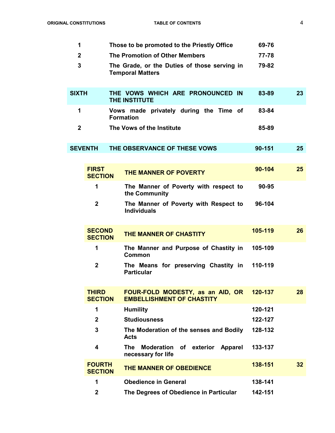| 1            |                                 | Those to be promoted to the Priestly Office                             | 69-76   |    |
|--------------|---------------------------------|-------------------------------------------------------------------------|---------|----|
| $\mathbf{2}$ |                                 | The Promotion of Other Members                                          | 77-78   |    |
| 3            |                                 | The Grade, or the Duties of those serving in<br><b>Temporal Matters</b> | 79-82   |    |
| <b>SIXTH</b> |                                 | THE VOWS WHICH ARE PRONOUNCED IN<br><b>THE INSTITUTE</b>                | 83-89   | 23 |
| 1            |                                 | Vows made privately during the Time of<br><b>Formation</b>              | 83-84   |    |
| $\mathbf{2}$ |                                 | The Vows of the Institute                                               | 85-89   |    |
|              | <b>SEVENTH</b>                  | THE OBSERVANCE OF THESE VOWS                                            | 90-151  | 25 |
|              |                                 |                                                                         |         |    |
|              | <b>FIRST</b><br><b>SECTION</b>  | THE MANNER OF POVERTY                                                   | 90-104  | 25 |
|              | 1                               | The Manner of Poverty with respect to<br>the Community                  | 90-95   |    |
|              | $\mathbf{2}$                    | The Manner of Poverty with Respect to<br><b>Individuals</b>             | 96-104  |    |
|              | <b>SECOND</b><br><b>SECTION</b> | THE MANNER OF CHASTITY                                                  | 105-119 | 26 |
|              | 1                               | The Manner and Purpose of Chastity in<br>Common                         | 105-109 |    |
|              | $\mathbf{2}$                    | The Means for preserving Chastity in<br><b>Particular</b>               | 110-119 |    |
|              | <b>THIRD</b><br><b>SECTION</b>  | FOUR-FOLD MODESTY, as an AID, OR<br><b>EMBELLISHMENT OF CHASTITY</b>    | 120-137 | 28 |
|              | 1                               | <b>Humility</b>                                                         | 120-121 |    |
|              | $\mathbf{2}$                    | <b>Studiousness</b>                                                     | 122-127 |    |
|              | 3                               | The Moderation of the senses and Bodily<br><b>Acts</b>                  | 128-132 |    |
|              | 4                               | The<br>Moderation of exterior Apparel<br>necessary for life             | 133-137 |    |
|              | <b>FOURTH</b><br><b>SECTION</b> | THE MANNER OF OBEDIENCE                                                 | 138-151 | 32 |
|              | 1                               | <b>Obedience in General</b>                                             | 138-141 |    |
|              | $\mathbf{2}$                    | The Degrees of Obedience in Particular                                  | 142-151 |    |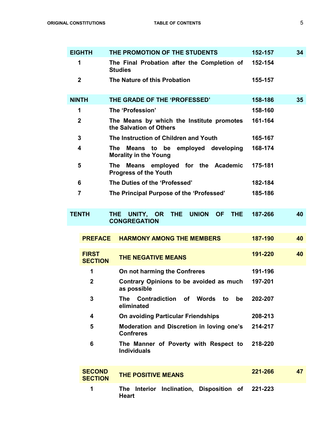|              | <b>EIGHTH</b>                   | THE PROMOTION OF THE STUDENTS                                            | 152-157 | 34 |
|--------------|---------------------------------|--------------------------------------------------------------------------|---------|----|
|              | 1                               | The Final Probation after the Completion of<br><b>Studies</b>            | 152-154 |    |
|              | $\mathbf{2}$                    | The Nature of this Probation                                             | 155-157 |    |
| <b>NINTH</b> |                                 | THE GRADE OF THE 'PROFESSED'                                             | 158-186 | 35 |
|              | 1                               | The 'Profession'                                                         | 158-160 |    |
|              | $\overline{2}$                  | The Means by which the Institute promotes<br>the Salvation of Others     | 161-164 |    |
|              | 3                               | The Instruction of Children and Youth                                    | 165-167 |    |
|              | 4                               | The<br>Means to be employed developing<br><b>Morality in the Young</b>   | 168-174 |    |
|              | 5                               | Means employed for the Academic<br>The .<br><b>Progress of the Youth</b> | 175-181 |    |
|              | 6                               | The Duties of the 'Professed'                                            | 182-184 |    |
|              | 7                               | The Principal Purpose of the 'Professed'                                 | 185-186 |    |
|              | <b>TENTH</b>                    | THE UNITY, OR THE<br>UNION OF<br><b>THE</b><br><b>CONGREGATION</b>       | 187-266 | 40 |
|              | <b>PREFACE</b>                  | <b>HARMONY AMONG THE MEMBERS</b>                                         | 187-190 | 40 |
|              | <b>FIRST</b><br><b>SECTION</b>  | <b>THE NEGATIVE MEANS</b>                                                | 191-220 | 40 |
|              | 1                               | On not harming the Confreres                                             | 191-196 |    |
|              | $\overline{2}$                  | Contrary Opinions to be avoided as much<br>as possible                   | 197-201 |    |
|              | 3                               | Contradiction of Words to<br>The<br>be<br>eliminated                     | 202-207 |    |
|              | 4                               | On avoiding Particular Friendships                                       | 208-213 |    |
|              | 5                               | Moderation and Discretion in loving one's<br><b>Confreres</b>            | 214-217 |    |
|              | 6                               | The Manner of Poverty with Respect to<br><b>Individuals</b>              | 218-220 |    |
|              | <b>SECOND</b><br><b>SECTION</b> | <b>THE POSITIVE MEANS</b>                                                | 221-266 | 47 |
|              |                                 |                                                                          |         |    |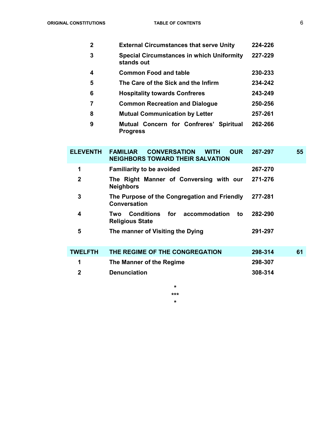| $\mathbf{2}$ | <b>External Circumstances that serve Unity</b>                 | 224-226 |
|--------------|----------------------------------------------------------------|---------|
| 3            | <b>Special Circumstances in which Uniformity</b><br>stands out | 227-229 |
| 4            | <b>Common Food and table</b>                                   | 230-233 |
| 5            | The Care of the Sick and the Infirm                            | 234-242 |
| 6            | <b>Hospitality towards Confreres</b>                           | 243-249 |
|              | <b>Common Recreation and Dialogue</b>                          | 250-256 |
| 8            | <b>Mutual Communication by Letter</b>                          | 257-261 |
| 9            | Mutual Concern for Confreres' Spiritual<br><b>Progress</b>     | 262-266 |

| <b>ELEVENTH</b> | <b>CONVERSATION</b><br><b>OUR</b><br><b>FAMILIAR</b><br><b>WITH</b><br><b>NEIGHBORS TOWARD THEIR SALVATION</b> | 267-297 | 55 |
|-----------------|----------------------------------------------------------------------------------------------------------------|---------|----|
| 1               | <b>Familiarity to be avoided</b>                                                                               | 267-270 |    |
| $\mathbf{2}$    | The Right Manner of Conversing with our<br><b>Neighbors</b>                                                    | 271-276 |    |
| 3               | The Purpose of the Congregation and Friendly<br><b>Conversation</b>                                            | 277-281 |    |
| 4               | <b>Conditions</b><br>accommodation<br>for<br>to<br>Two<br><b>Religious State</b>                               | 282-290 |    |
| 5               | The manner of Visiting the Dying                                                                               | 291-297 |    |
| <b>TWELFTH</b>  | THE REGIME OF THE CONGREGATION                                                                                 | 298-314 | 61 |
| 1               | The Manner of the Regime                                                                                       | 298-307 |    |
| 2               | <b>Denunciation</b>                                                                                            | 308-314 |    |

\* \*\*\*

\*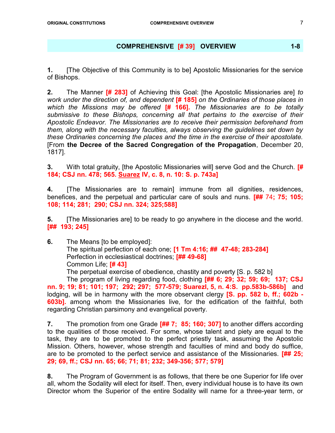#### COMPREHENSIVE [# 39] OVERVIEW 1-8

1. [The Objective of this Community is to be] Apostolic Missionaries for the service of Bishops.

2. The Manner [# 283] of Achieving this Goal: [the Apostolic Missionaries are] to work under the direction of, and dependent [# 185] on the Ordinaries of those places in which the Missions may be offered  $[# 166]$ . The Missionaries are to be totally submissive to these Bishops, concerning all that pertains to the exercise of their Apostolic Endeavor. The Missionaries are to receive their permission beforehand from them, along with the necessary faculties, always observing the guidelines set down by these Ordinaries concerning the places and the time in the exercise of their apostolate. [From the Decree of the Sacred Congregation of the Propagation, December 20, 1817].

3. With total gratuity, [the Apostolic Missionaries will] serve God and the Church. **[#** 184; CSJ nn. 478; 565. Suarez IV, c. 8, n. 10: S. p. 743a]

4. [The Missionaries are to remain] immune from all dignities, residences, benefices, and the perpetual and particular care of souls and nuns. [## 74; 75; 105; 108; 114; 281; 290; CSJ nn. 324; 325;588]

**5.** [The Missionaries are] to be ready to go anywhere in the diocese and the world. [## 193; 245]

6. The Means [to be employed]: The spiritual perfection of each one; [1 Tm 4:16; ## 47-48; 283-284] Perfection in ecclesiastical doctrines; [## 49-68] Common Life; [# 43]

The perpetual exercise of obedience, chastity and poverty [S. p. 582 b]

The program of living regarding food, clothing [## 6; 29; 32; 59; 69; 137; CSJ nn. 9; 19; 81; 101; 197; 292; 297; 577-579; SuarezI, 5, n. 4:S. pp.583b-586b] and lodging, will be in harmony with the more observant clergy [S. pp. 582 b, ff.; 602b -**603b].** among whom the Missionaries live, for the edification of the faithful, both regarding Christian parsimony and evangelical poverty.

7. The promotion from one Grade [## 7; 85; 160; 307] to another differs according to the qualities of those received. For some, whose talent and piety are equal to the task, they are to be promoted to the perfect priestly task, assuming the Apostolic Mission. Others, however, whose strength and faculties of mind and body do suffice, are to be promoted to the perfect service and assistance of the Missionaries. [## 25; 29; 69, ff.; CSJ nn. 65; 66; 71; 81; 232; 349-356; 577; 579]

8. The Program of Government is as follows, that there be one Superior for life over all, whom the Sodality will elect for itself. Then, every individual house is to have its own Director whom the Superior of the entire Sodality will name for a three-year term, or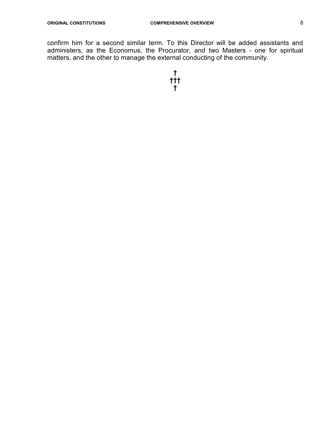confirm him for a second similar term. To this Director will be added assistants and administers, as the Economus, the Procurator, and two Masters - one for spiritual matters, and the other to manage the external conducting of the community.

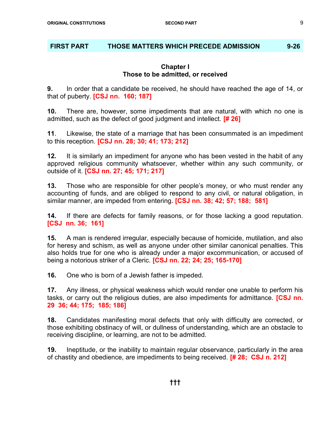# FIRST PART THOSE MATTERS WHICH PRECEDE ADMISSION 9-26

#### Chapter I Those to be admitted, or received

9. In order that a candidate be received, he should have reached the age of 14, or that of puberty. **[CSJ nn. 160; 187]** 

10. There are, however, some impediments that are natural, with which no one is admitted, such as the defect of good judgment and intellect. **[# 26]** 

11. Likewise, the state of a marriage that has been consummated is an impediment to this reception. [CSJ nn. 28; 30; 41; 173; 212]

12. It is similarly an impediment for anyone who has been vested in the habit of any approved religious community whatsoever, whether within any such community, or outside of it. [CSJ nn. 27; 45; 171; 217]

13. Those who are responsible for other people's money, or who must render any accounting of funds, and are obliged to respond to any civil, or natural obligation, in similar manner, are impeded from entering. **[CSJ nn. 38; 42; 57; 188; 581]** 

**14.** If there are defects for family reasons, or for those lacking a good reputation. [CSJ nn. 36; 161]

15. A man is rendered irregular, especially because of homicide, mutilation, and also for heresy and schism, as well as anyone under other similar canonical penalties. This also holds true for one who is already under a major excommunication, or accused of being a notorious striker of a Cleric. **[CSJ nn. 22; 24; 25; 165-170]** 

16. One who is born of a Jewish father is impeded.

17. Any illness, or physical weakness which would render one unable to perform his tasks, or carry out the religious duties, are also impediments for admittance. **[CSJ nn.** 29 36; 44; 175; 185; 186]

18. Candidates manifesting moral defects that only with difficulty are corrected, or those exhibiting obstinacy of will, or dullness of understanding, which are an obstacle to receiving discipline, or learning, are not to be admitted.

19. Ineptitude, or the inability to maintain regular observance, particularly in the area of chastity and obedience, are impediments to being received. [# 28; CSJ n. 212]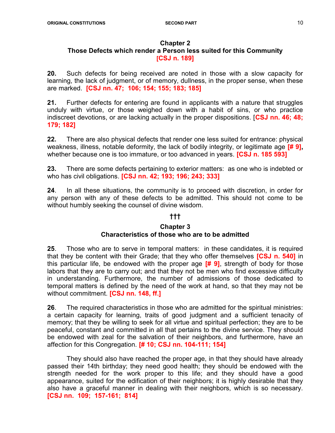#### Chapter 2 Those Defects which render a Person less suited for this Community [CSJ n. 189]

20. Such defects for being received are noted in those with a slow capacity for learning, the lack of judgment, or of memory, dullness, in the proper sense, when these are marked. [CSJ nn. 47; 106; 154; 155; 183; 185]

21. Further defects for entering are found in applicants with a nature that struggles unduly with virtue, or those weighed down with a habit of sins, or who practice indiscreet devotions, or are lacking actually in the proper dispositions. **[CSJ nn. 46; 48;** 179; 182]

22. There are also physical defects that render one less suited for entrance: physical weakness, illness, notable deformity, the lack of bodily integrity, or legitimate age [# 9], whether because one is too immature, or too advanced in years. **[CSJ n. 185 593]** 

23. There are some defects pertaining to exterior matters: as one who is indebted or who has civil obligations. **[CSJ nn. 42; 193; 196; 243; 333]** 

24. In all these situations, the community is to proceed with discretion, in order for any person with any of these defects to be admitted. This should not come to be without humbly seeking the counsel of divine wisdom.

# †††

#### Chapter 3 Characteristics of those who are to be admitted

25. Those who are to serve in temporal matters: in these candidates, it is required that they be content with their Grade; that they who offer themselves [CSJ n. 540] in this particular life, be endowed with the proper age  $[# 9]$ , strength of body for those labors that they are to carry out; and that they not be men who find excessive difficulty in understanding. Furthermore, the number of admissions of those dedicated to temporal matters is defined by the need of the work at hand, so that they may not be without commitment. **[CSJ nn. 148, ff.]** 

26. The required characteristics in those who are admitted for the spiritual ministries: a certain capacity for learning, traits of good judgment and a sufficient tenacity of memory; that they be willing to seek for all virtue and spiritual perfection; they are to be peaceful, constant and committed in all that pertains to the divine service. They should be endowed with zeal for the salvation of their neighbors, and furthermore, have an affection for this Congregation. [# 10; CSJ nn. 104-111; 154]

 They should also have reached the proper age, in that they should have already passed their 14th birthday; they need good health; they should be endowed with the strength needed for the work proper to this life; and they should have a good appearance, suited for the edification of their neighbors; it is highly desirable that they also have a graceful manner in dealing with their neighbors, which is so necessary. [CSJ nn. 109; 157-161; 814]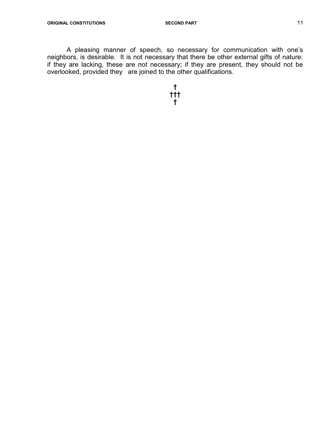A pleasing manner of speech, so necessary for communication with one's neighbors, is desirable. It is not necessary that there be other external gifts of nature: if they are lacking, these are not necessary; if they are present, they should not be overlooked, provided they are joined to the other qualifications.

> † ††† †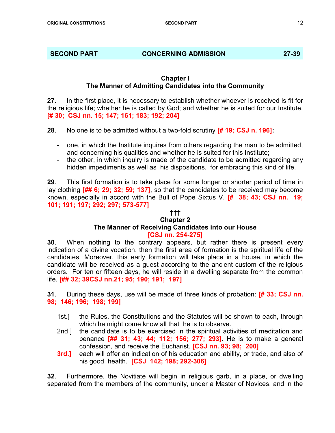#### SECOND PART CONCERNING ADMISSION 27-39

# Chapter I The Manner of Admitting Candidates into the Community

27. In the first place, it is necessary to establish whether whoever is received is fit for the religious life; whether he is called by God; and whether he is suited for our Institute. [# 30; CSJ nn. 15; 147; 161; 183; 192; 204]

28. No one is to be admitted without a two-fold scrutiny **[# 19; CSJ n. 196]:** 

- one, in which the Institute inquires from others regarding the man to be admitted, and concerning his qualities and whether he is suited for this Institute;
- the other, in which inquiry is made of the candidate to be admitted regarding any hidden impediments as well as his dispositions, for embracing this kind of life.

29. This first formation is to take place for some longer or shorter period of time in lay clothing [## 6; 29; 32; 59; 137], so that the candidates to be received may become known, especially in accord with the Bull of Pope Sixtus V.  $[# 38; 43; CSJ nn. 19;$ 101; 191; 197; 292; 297; 573-577]

# †††

#### Chapter 2 The Manner of Receiving Candidates into our House [CSJ nn. 254-275]

**30**. When nothing to the contrary appears, but rather there is present every indication of a divine vocation, then the first area of formation is the spiritual life of the candidates. Moreover, this early formation will take place in a house, in which the candidate will be received as a guest according to the ancient custom of the religious orders. For ten or fifteen days, he will reside in a dwelling separate from the common life. [## 32; 39CSJ nn.21; 95; 190; 191; 197]

31. During these days, use will be made of three kinds of probation: **[# 33; CSJ nn.** 98; 146; 196; 198; 199]

- 1st.] the Rules, the Constitutions and the Statutes will be shown to each, through which he might come know all that he is to observe.
- 2nd.] the candidate is to be exercised in the spiritual activities of meditation and penance [## 31; 43; 44; 112; 156; 277; 293]. He is to make a general confession, and receive the Eucharist. **[CSJ nn. 93; 98; 200]**
- **3rd.]** each will offer an indication of his education and ability, or trade, and also of his good health. **[CSJ 142; 198; 292-306]**

32. Furthermore, the Novitiate will begin in religious garb, in a place, or dwelling separated from the members of the community, under a Master of Novices, and in the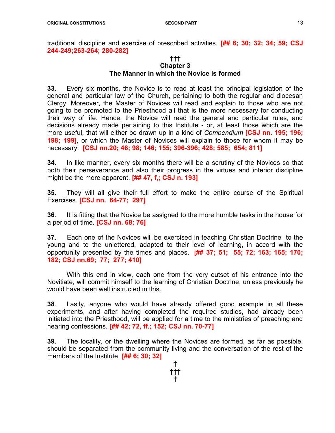traditional discipline and exercise of prescribed activities. [## 6; 30; 32; 34; 59; CSJ 244-249;263-264; 280-282]

#### ††† Chapter 3 The Manner in which the Novice is formed

33. Every six months, the Novice is to read at least the principal legislation of the general and particular law of the Church, pertaining to both the regular and diocesan Clergy. Moreover, the Master of Novices will read and explain to those who are not going to be promoted to the Priesthood all that is the more necessary for conducting their way of life. Hence, the Novice will read the general and particular rules, and decisions already made pertaining to this Institute - or, at least those which are the more useful, that will either be drawn up in a kind of *Compendium* **[CSJ nn. 195; 196;** 198; 199], or which the Master of Novices will explain to those for whom it may be necessary. [CSJ nn.20; 46; 98; 146; 155; 396-396; 428; 585; 654; 811]

34. In like manner, every six months there will be a scrutiny of the Novices so that both their perseverance and also their progress in the virtues and interior discipline might be the more apparent.  $[$ ## 47, f,; CSJ n. 193]

35. They will all give their full effort to make the entire course of the Spiritual Exercises. [CSJ nn. 64-77; 297]

36. It is fitting that the Novice be assigned to the more humble tasks in the house for a period of time. **[CSJ nn. 68; 76]** 

37. Each one of the Novices will be exercised in teaching Christian Doctrine to the young and to the unlettered, adapted to their level of learning, in accord with the opportunity presented by the times and places.  $\frac{1}{4}$  37; 51; 55; 72; 163; 165; 170; 182; CSJ nn.69; 77; 277; 410]

 With this end in view, each one from the very outset of his entrance into the Novitiate, will commit himself to the learning of Christian Doctrine, unless previously he would have been well instructed in this.

38. Lastly, anyone who would have already offered good example in all these experiments, and after having completed the required studies, had already been initiated into the Priesthood, will be applied for a time to the ministries of preaching and hearing confessions. [## 42; 72, ff.; 152; CSJ nn. 70-77]

39. The locality, or the dwelling where the Novices are formed, as far as possible, should be separated from the community living and the conversation of the rest of the members of the Institute. [## 6; 30; 32]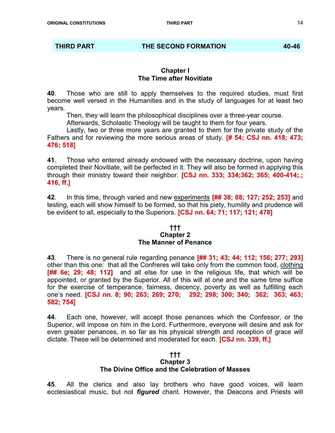#### THIRD PART **THE SECOND FORMATION** 40-46

#### Chapter I The Time after Novitiate

40. Those who are still to apply themselves to the required studies, must first become well versed in the Humanities and in the study of languages for at least two years.

Then, they will learn the philosophical disciplines over a three-year course.

Afterwards, Scholastic Theology will be taught to them for four years.

 Lastly, two or three more years are granted to them for the private study of the Fathers and for reviewing the more serious areas of study. **[# 54; CSJ nn. 418; 473;** 476; 518]

41. Those who entered already endowed with the necessary doctrine, upon having completed their Novitiate, will be perfected in it. They will also be formed in applying this through their ministry toward their neighbor. [CSJ nn. 333; 334;362; 365; 400-414;.; 416, ff.]

42. In this time, through varied and new experiments [## 38; 88; 127; 252; 253] and testing, each will show himself to be formed, so that his piety, humility and prudence will be evident to all, especially to the Superiors. **[CSJ nn. 64; 71; 117; 121; 478]** 

#### ††† Chapter 2 The Manner of Penance

43. There is no general rule regarding penance [## 31; 43; 44; 112; 156; 277; 293] other than this one: that all the Confreres will take only from the common food, clothing [## 6e; 29; 48; 112] and all else for use in the religious life, that which will be appointed, or granted by the Superior. All of this will at one and the same time suffice for the exercise of temperance, fairness, decency, poverty as well as fulfilling each one's need. [CSJ nn. 8; 90; 263; 269; 270; 292; 298; 300; 340; 362; 363; 463; 582; 754]

44. Each one, however, will accept those penances which the Confessor, or the Superior, will impose on him in the Lord. Furthermore, everyone will desire and ask for even greater penances, in so far as his physical strength and reception of grace will dictate. These will be determined and moderated for each. **[CSJ nn. 339, ff.]** 

#### ††† Chapter 3 The Divine Office and the Celebration of Masses

45. All the clerics and also lay brothers who have good voices, will learn ecclesiastical music, but not *figured* chant. However, the Deacons and Priests will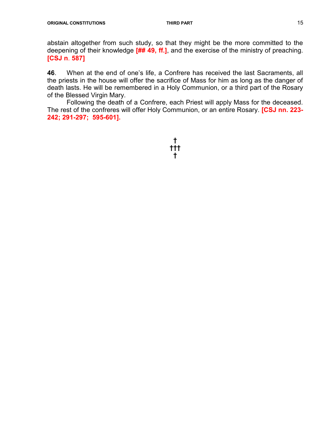abstain altogether from such study, so that they might be the more committed to the deepening of their knowledge  $[$ ## 49, ff.], and the exercise of the ministry of preaching. [CSJ n. 587]

46. When at the end of one's life, a Confrere has received the last Sacraments, all the priests in the house will offer the sacrifice of Mass for him as long as the danger of death lasts. He will be remembered in a Holy Communion, or a third part of the Rosary of the Blessed Virgin Mary.

 Following the death of a Confrere, each Priest will apply Mass for the deceased. The rest of the confreres will offer Holy Communion, or an entire Rosary. **[CSJ nn. 223-**242; 291-297; 595-601].

> † ††† †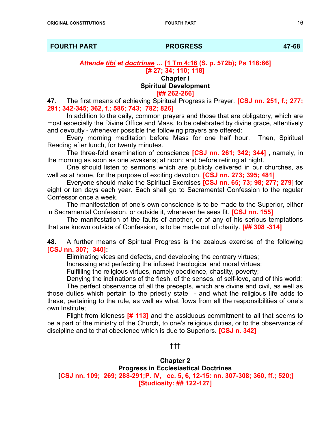FOURTH PART PROGRESS 47-68

Attende tibi et doctrinae … [1 Tm 4:16 (S. p. 572b); Ps 118:66] [# 27; 34; 110; 118] Chapter I Spiritual Development

# [## 262-266]

47. The first means of achieving Spiritual Progress is Prayer. **[CSJ nn. 251, f.; 277;** 291; 342-345; 362, f.; 586; 743; 782; 826]

 In addition to the daily, common prayers and those that are obligatory, which are most especially the Divine Office and Mass, to be celebrated by divine grace, attentively and devoutly - whenever possible the following prayers are offered:

 Every morning meditation before Mass for one half hour. Then, Spiritual Reading after lunch, for twenty minutes.

The three-fold examination of conscience **[CSJ nn. 261; 342; 344]** , namely, in the morning as soon as one awakens; at noon; and before retiring at night.

 One should listen to sermons which are publicly delivered in our churches, as well as at home, for the purpose of exciting devotion. **[CSJ nn. 273; 395; 481]** 

 Everyone should make the Spiritual Exercises [CSJ nn. 65; 73; 98; 277; 279] for eight or ten days each year. Each shall go to Sacramental Confession to the regular Confessor once a week.

 The manifestation of one's own conscience is to be made to the Superior, either in Sacramental Confession, or outside it, whenever he sees fit. **[CSJ nn. 155]** 

 The manifestation of the faults of another, or of any of his serious temptations that are known outside of Confession, is to be made out of charity. [## 308 -314]

48. A further means of Spiritual Progress is the zealous exercise of the following [CSJ nn. 307; 340]:

Eliminating vices and defects, and developing the contrary virtues;

Increasing and perfecting the infused theological and moral virtues;

Fulfilling the religious virtues, namely obedience, chastity, poverty;

Denying the inclinations of the flesh, of the senses, of self-love, and of this world;

 The perfect observance of all the precepts, which are divine and civil, as well as those duties which pertain to the priestly state - and what the religious life adds to these, pertaining to the rule, as well as what flows from all the responsibilities of one's own Institute;

Flight from idleness  $[# 113]$  and the assiduous commitment to all that seems to be a part of the ministry of the Church, to one's religious duties, or to the observance of discipline and to that obedience which is due to Superiors. **[CSJ n. 342]** 

# †††

#### Chapter 2

Progress in Ecclesiastical Doctrines [CSJ nn. 109; 269; 288-291;P. IV, cc. 5, 6, 12-15: nn. 307-308; 360, ff.; 520;] [Studiosity: ## 122-127]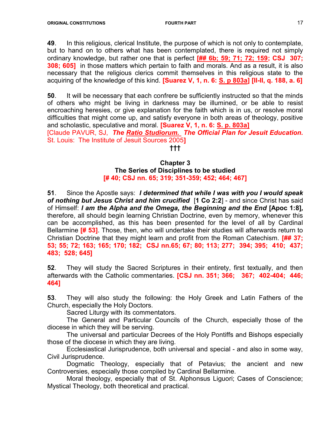49. In this religious, clerical Institute, the purpose of which is not only to contemplate, but to hand on to others what has been contemplated, there is required not simply ordinary knowledge, but rather one that is perfect [## 6b; 59; 71; 72; 159; CSJ 307; **308; 605]** in those matters which pertain to faith and morals. And as a result, it is also necessary that the religious clerics commit themselves in this religious state to the acquiring of the knowledge of this kind. [Suarez V, 1, n. 6: S. p 803a] [II-II, q. 188, a. 6]

50. It will be necessary that each confrere be sufficiently instructed so that the minds of others who might be living in darkness may be illumined, or be able to resist encroaching heresies, or give explanation for the faith which is in us, or resolve moral difficulties that might come up, and satisfy everyone in both areas of theology, positive and scholastic, speculative and moral. [Suarez V, 1, n. 6: S. p. 803a] [Claude PAVUR, SJ, The Ratio Studiorum. The Official Plan for Jesuit Education.

St. Louis: The Institute of Jesuit Sources 2005]

# †††

#### Chapter 3 The Series of Disciplines to be studied [# 40; CSJ nn. 65; 319; 351-359; 452; 464; 467]

51. Since the Apostle says: I determined that while I was with you I would speak of nothing but Jesus Christ and him crucified [1 Co 2:2] - and since Christ has said of Himself: I am the Alpha and the Omega, the Beginning and the End [Apoc 1:8], therefore, all should begin learning Christian Doctrine, even by memory, whenever this can be accomplished, as this has been presented for the level of all by Cardinal Bellarmine **[# 53]**. Those, then, who will undertake their studies will afterwards return to Christian Doctrine that they might learn and profit from the Roman Catechism. **[## 37:** 53; 55; 72; 163; 165; 170; 182; CSJ nn.65; 67; 80; 113; 277; 394; 395; 410; 437; 483; 528; 645]

52. They will study the Sacred Scriptures in their entirety, first textually, and then afterwards with the Catholic commentaries. [CSJ nn. 351; 366; 367; 402-404; 446; 464]

53. They will also study the following: the Holy Greek and Latin Fathers of the Church, especially the Holy Doctors.

Sacred Liturgy with its commentators.

 The General and Particular Councils of the Church, especially those of the diocese in which they will be serving.

 The universal and particular Decrees of the Holy Pontiffs and Bishops especially those of the diocese in which they are living.

 Ecclesiastical Jurisprudence, both universal and special - and also in some way, Civil Jurisprudence.

 Dogmatic Theology, especially that of Petavius; the ancient and new Controversies, especially those compiled by Cardinal Bellarmine.

 Moral theology, especially that of St. Alphonsus Liguori; Cases of Conscience; Mystical Theology, both theoretical and practical.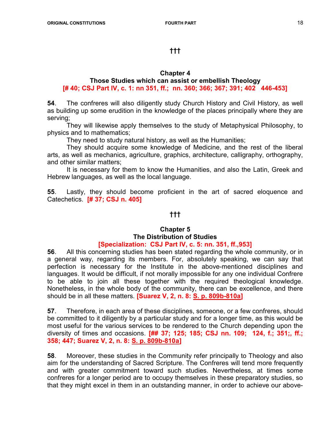# †††

# Chapter 4

# Those Studies which can assist or embellish Theology [# 40; CSJ Part IV, c. 1: nn 351, ff.; nn. 360; 366; 367; 391; 402 446-453]

54. The confreres will also diligently study Church History and Civil History, as well as building up some erudition in the knowledge of the places principally where they are serving;

 They will likewise apply themselves to the study of Metaphysical Philosophy, to physics and to mathematics;

They need to study natural history, as well as the Humanities;

 They should acquire some knowledge of Medicine, and the rest of the liberal arts, as well as mechanics, agriculture, graphics, architecture, calligraphy, orthography, and other similar matters;

 It is necessary for them to know the Humanities, and also the Latin, Greek and Hebrew languages, as well as the local language.

55. Lastly, they should become proficient in the art of sacred eloquence and Catechetics. [# 37; CSJ n. 405]

# †††

#### Chapter 5 The Distribution of Studies [Specialization: CSJ Part IV, c. 5: nn. 351, ff.,953]

56. All this concerning studies has been stated regarding the whole community, or in a general way, regarding its members. For, absolutely speaking, we can say that perfection is necessary for the Institute in the above-mentioned disciplines and languages. It would be difficult, if not morally impossible for any one individual Confrere to be able to join all these together with the required theological knowledge. Nonetheless, in the whole body of the community, there can be excellence, and there should be in all these matters. [Suarez V, 2, n. 8: S. p. 809b-810a]

57. Therefore, in each area of these disciplines, someone, or a few confreres, should be committed to it diligently by a particular study and for a longer time, as this would be most useful for the various services to be rendered to the Church depending upon the diversity of times and occasions. [## 37; 125; 185; CSJ nn. 109; 124, f.; 351;, ff.; 358; 447; Suarez V, 2, n. 8: S. p. 809b-810a]

58. Moreover, these studies in the Community refer principally to Theology and also aim for the understanding of Sacred Scripture. The Confreres will tend more frequently and with greater commitment toward such studies. Nevertheless, at times some confreres for a longer period are to occupy themselves in these preparatory studies, so that they might excel in them in an outstanding manner, in order to achieve our above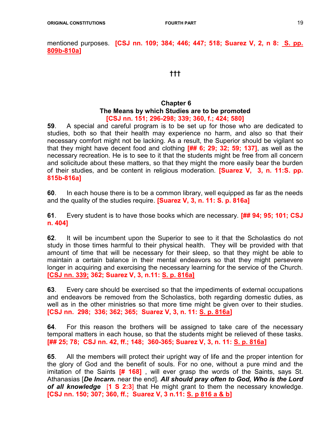mentioned purposes. **[CSJ nn. 109; 384; 446; 447; 518; Suarez V, 2, n 8: S. pp.** 809b-810a]

#### †††

#### Chapter 6 The Means by which Studies are to be promoted [CSJ nn. 151; 296-298; 339; 360, f.; 424; 580]

59. A special and careful program is to be set up for those who are dedicated to studies, both so that their health may experience no harm, and also so that their necessary comfort might not be lacking. As a result, the Superior should be vigilant so that they might have decent food and clothing  $[$ ## 6; 29; 32; 59; 137], as well as the necessary recreation. He is to see to it that the students might be free from all concern and solicitude about these matters, so that they might the more easily bear the burden of their studies, and be content in religious moderation. **[Suarez V, 3, n. 11:S. pp.** 815b-816a]

60. In each house there is to be a common library, well equipped as far as the needs and the quality of the studies require. [Suarez V, 3, n. 11: S. p. 816a]

61. Every student is to have those books which are necessary. [## 94; 95; 101; CSJ n. 404]

62. It will be incumbent upon the Superior to see to it that the Scholastics do not study in those times harmful to their physical health. They will be provided with that amount of time that will be necessary for their sleep, so that they might be able to maintain a certain balance in their mental endeavors so that they might persevere longer in acquiring and exercising the necessary learning for the service of the Church. [CSJ nn. 339; 362; Suarez V, 3, n.11: S. p. 816a]

63. Every care should be exercised so that the impediments of external occupations and endeavors be removed from the Scholastics, both regarding domestic duties, as well as in the other ministries so that more time might be given over to their studies. [CSJ nn. 298; 336; 362; 365; Suarez V, 3, n. 11: S. p. 816a]

64. For this reason the brothers will be assigned to take care of the necessary temporal matters in each house, so that the students might be relieved of these tasks. [## 25; 78; CSJ nn. 42, ff.; 148; 360-365; Suarez V, 3, n. 11: S. p. 816a]

65. All the members will protect their upright way of life and the proper intention for the glory of God and the benefit of souls. For no one, without a pure mind and the imitation of the Saints  $[# 168]$ , will ever grasp the words of the Saints, says St. Athanasias [De Incarn. near the end]. All should pray often to God, Who is the Lord of all knowledge [1 S 2:3] that He might grant to them the necessary knowledge. [CSJ nn. 150; 307; 360, ff.; Suarez V, 3 n.11: S. p 816 a & b]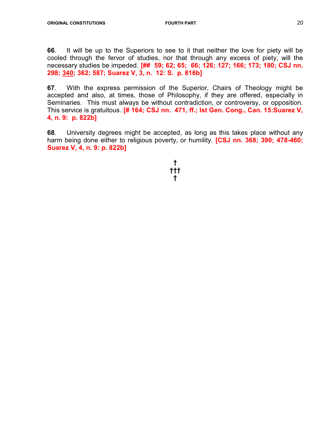66. It will be up to the Superiors to see to it that neither the love for piety will be cooled through the fervor of studies, nor that through any excess of piety, will the necessary studies be impeded. [## 59; 62; 65; 66; 126; 127; 166; 173; 180; CSJ nn. 298; 340; 362; 587; Suarez V, 3, n. 12: S. p. 816b]

67. With the express permission of the Superior, Chairs of Theology might be accepted and also, at times, those of Philosophy, if they are offered, especially in Seminaries. This must always be without contradiction, or controversy, or opposition. This service is gratuitous. [# 164; CSJ nn. 471, ff.; Ist Gen. Cong., Can. 15: Suarez V, 4, n. 9: p. 822b]

68. University degrees might be accepted, as long as this takes place without any harm being done either to religious poverty, or humility. **[CSJ nn. 368; 390; 478-460;** Suarez V, 4, n. 9: p. 822b]

#### † ††† †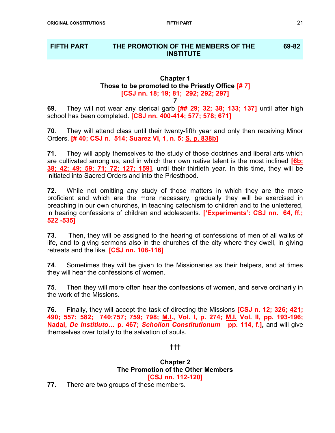#### FIFTH PART THE PROMOTION OF THE MEMBERS OF THE **INSTITUTE** 69-82

# Chapter 1 Those to be promoted to the Priestly Office  $[# 7]$ [CSJ nn. 18; 19; 81; 292; 292; 297]

7

69. They will not wear any clerical garb [## 29; 32; 38; 133; 137] until after high school has been completed. **[CSJ nn. 400-414; 577; 578; 671]** 

70. They will attend class until their twenty-fifth year and only then receiving Minor Orders. [# 40; CSJ n. 514; Suarez VI, 1, n. 5: S. p. 838b]

71. They will apply themselves to the study of those doctrines and liberal arts which are cultivated among us, and in which their own native talent is the most inclined  $[6b]$ ; 38; 42; 49; 59; 71; 72; 127; 159], until their thirtieth year. In this time, they will be initiated into Sacred Orders and into the Priesthood.

**72.** While not omitting any study of those matters in which they are the more proficient and which are the more necessary, gradually they will be exercised in preaching in our own churches, in teaching catechism to children and to the unlettered, in hearing confessions of children and adolescents. ['Experiments': CSJ nn. 64, ff.; 522 -535]

73. Then, they will be assigned to the hearing of confessions of men of all walks of life, and to giving sermons also in the churches of the city where they dwell, in giving retreats and the like. **[CSJ nn. 108-116]** 

74. Sometimes they will be given to the Missionaries as their helpers, and at times they will hear the confessions of women.

75. Then they will more often hear the confessions of women, and serve ordinarily in the work of the Missions.

76. Finally, they will accept the task of directing the Missions **[CSJ n. 12; 326; 421;** 490; 557; 582; 740;757; 759; 798; M.I., Vol. I, p. 274; M.I. Vol. II, pp. 193-196; Nadal, De Institluto... p. 467; Scholion Constitutionum pp. 114, f.], and will give themselves over totally to the salvation of souls.

# †††

#### Chapter 2 The Promotion of the Other Members [CSJ nn. 112-120]

77. There are two groups of these members.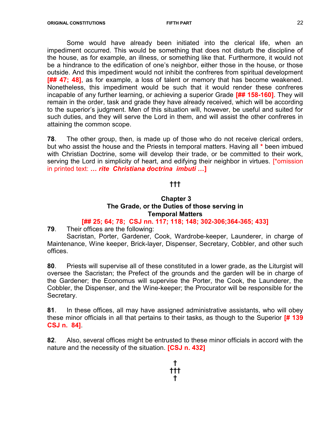Some would have already been initiated into the clerical life, when an impediment occurred. This would be something that does not disturb the discipline of the house, as for example, an illness, or something like that. Furthermore, it would not be a hindrance to the edification of one's neighbor, either those in the house, or those outside. And this impediment would not inhibit the confreres from spiritual development [## 47; 48], as for example, a loss of talent or memory that has become weakened. Nonetheless, this impediment would be such that it would render these confreres incapable of any further learning, or achieving a superior Grade [## 158-160]. They will remain in the order, task and grade they have already received, which will be according to the superior's judgment. Men of this situation will, however, be useful and suited for such duties, and they will serve the Lord in them, and will assist the other confreres in attaining the common scope.

78. The other group, then, is made up of those who do not receive clerical orders, but who assist the house and the Priests in temporal matters. Having all \* been imbued with Christian Doctrine, some will develop their trade, or be committed to their work, serving the Lord in simplicity of heart, and edifying their neighbor in virtues. [\*omission in printed text: ... rite Christiana doctrina imbuti ...]

# †††

#### Chapter 3 The Grade, or the Duties of those serving in Temporal Matters

# [## 25; 64; 78; CSJ nn. 117; 118; 148; 302-306;364-365; 433]

79. Their offices are the following:

 Sacristan, Porter, Gardener, Cook, Wardrobe-keeper, Launderer, in charge of Maintenance, Wine keeper, Brick-layer, Dispenser, Secretary, Cobbler, and other such offices.

80. Priests will supervise all of these constituted in a lower grade, as the Liturgist will oversee the Sacristan; the Prefect of the grounds and the garden will be in charge of the Gardener; the Economus will supervise the Porter, the Cook, the Launderer, the Cobbler, the Dispenser, and the Wine-keeper; the Procurator will be responsible for the Secretary.

81. In these offices, all may have assigned administrative assistants, who will obey these minor officials in all that pertains to their tasks, as though to the Superior [# 139 CSJ n. 84].

82. Also, several offices might be entrusted to these minor officials in accord with the nature and the necessity of the situation. **[CSJ n. 432]**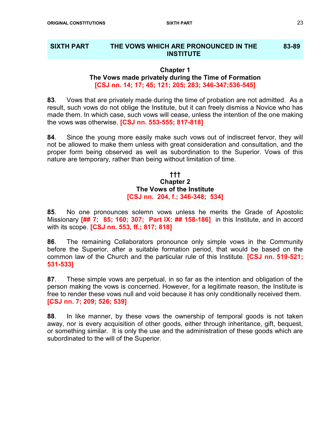#### SIXTH PART THE VOWS WHICH ARE PRONOUNCED IN THE **INSTITUTE** 83-89

#### Chapter 1 The Vows made privately during the Time of Formation [CSJ nn. 14; 17; 45; 121; 205; 283; 346-347;536-545]

83. Vows that are privately made during the time of probation are not admitted. As a result, such vows do not oblige the Institute, but it can freely dismiss a Novice who has made them. In which case, such vows will cease, unless the intention of the one making the vows was otherwise. **[CSJ nn. 553-555; 817-818]** 

84. Since the young more easily make such vows out of indiscreet fervor, they will not be allowed to make them unless with great consideration and consultation, and the proper form being observed as well as subordination to the Superior. Vows of this nature are temporary, rather than being without limitation of time.

#### ††† Chapter 2 The Vows of the Institute [CSJ nn. 204, f.; 346-348; 534]

85. No one pronounces solemn vows unless he merits the Grade of Apostolic Missionary [## 7; 85; 160; 307; Part IX: ## 158-186] in this Institute, and in accord with its scope. **[CSJ nn. 553, ff.; 817; 818]** 

86. The remaining Collaborators pronounce only simple vows in the Community before the Superior, after a suitable formation period, that would be based on the common law of the Church and the particular rule of this Institute. **[CSJ nn. 519-521;** 531-533]

87. These simple vows are perpetual, in so far as the intention and obligation of the person making the vows is concerned. However, for a legitimate reason, the Institute is free to render these vows null and void because it has only conditionally received them. [CSJ nn. 7; 209; 526; 539]

88. In like manner, by these vows the ownership of temporal goods is not taken away, nor is every acquisition of other goods, either through inheritance, gift, bequest, or something similar. It is only the use and the administration of these goods which are subordinated to the will of the Superior.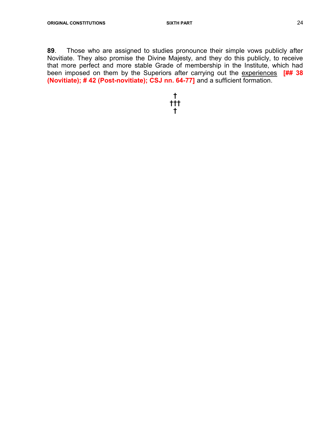89. Those who are assigned to studies pronounce their simple vows publicly after Novitiate. They also promise the Divine Majesty, and they do this publicly, to receive that more perfect and more stable Grade of membership in the Institute, which had been imposed on them by the Superiors after carrying out the experiences [## 38 (Novitiate); # 42 (Post-novitiate); CSJ nn. 64-77] and a sufficient formation.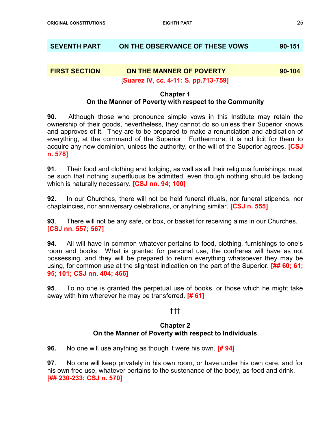# SEVENTH PART ON THE OBSERVANCE OF THESE VOWS 90-151

# FIRST SECTION ON THE MANNER OF POVERTY 90-104

#### [Suarez IV, cc. 4-11: S. pp.713-759]

#### Chapter 1 On the Manner of Poverty with respect to the Community

**90**. Although those who pronounce simple vows in this Institute may retain the ownership of their goods, nevertheless, they cannot do so unless their Superior knows and approves of it. They are to be prepared to make a renunciation and abdication of everything, at the command of the Superior. Furthermore, it is not licit for them to acquire any new dominion, unless the authority, or the will of the Superior agrees. **[CSJ** n. 578]

91. Their food and clothing and lodging, as well as all their religious furnishings, must be such that nothing superfluous be admitted, even though nothing should be lacking which is naturally necessary. **[CSJ nn. 94; 100]** 

92. In our Churches, there will not be held funeral rituals, nor funeral stipends, nor chaplaincies, nor anniversary celebrations, or anything similar. [CSJ n. 555]

93. There will not be any safe, or box, or basket for receiving alms in our Churches. [CSJ nn. 557; 567]

94. All will have in common whatever pertains to food, clothing, furnishings to one's room and books. What is granted for personal use, the confreres will have as not possessing, and they will be prepared to return everything whatsoever they may be using, for common use at the slightest indication on the part of the Superior. **[## 60; 61;** 95; 101; CSJ nn. 404; 466]

95. To no one is granted the perpetual use of books, or those which he might take away with him wherever he may be transferred. [# 61]

# †††

#### Chapter 2 On the Manner of Poverty with respect to Individuals

**96.** No one will use anything as though it were his own. **[# 94]** 

97. No one will keep privately in his own room, or have under his own care, and for his own free use, whatever pertains to the sustenance of the body, as food and drink. [## 230-233; CSJ n. 570]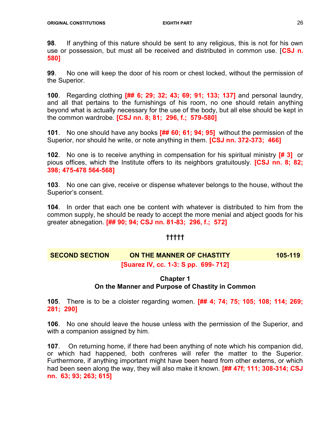98. If anything of this nature should be sent to any religious, this is not for his own use or possession, but must all be received and distributed in common use. [CSJ n. 580]

99. No one will keep the door of his room or chest locked, without the permission of the Superior.

100. Regarding clothing [## 6; 29; 32; 43; 69; 91; 133; 137] and personal laundry, and all that pertains to the furnishings of his room, no one should retain anything beyond what is actually necessary for the use of the body, but all else should be kept in the common wardrobe. [CSJ nn. 8; 81; 296, f.; 579-580]

101. No one should have any books [## 60; 61; 94; 95] without the permission of the Superior, nor should he write, or note anything in them. [CSJ nn. 372-373; 466]

102. No one is to receive anything in compensation for his spiritual ministry [# 3] or pious offices, which the Institute offers to its neighbors gratuitously. **[CSJ nn. 8; 82;** 398; 475-478 564-568]

103. No one can give, receive or dispense whatever belongs to the house, without the Superior's consent.

104. In order that each one be content with whatever is distributed to him from the common supply, he should be ready to accept the more menial and abject goods for his greater abnegation. [## 90; 94; CSJ nn. 81-83; 296, f.; 572]

# †††††

# SECOND SECTION ON THE MANNER OF CHASTITY 105-119 [Suarez IV, cc. 1-3: S pp. 699- 712]

# Chapter 1 On the Manner and Purpose of Chastity in Common

105. There is to be a cloister regarding women. [## 4; 74; 75; 105; 108; 114; 269; 281; 290]

106. No one should leave the house unless with the permission of the Superior, and with a companion assigned by him.

107. On returning home, if there had been anything of note which his companion did, or which had happened, both confreres will refer the matter to the Superior. Furthermore, if anything important might have been heard from other externs, or which had been seen along the way, they will also make it known. [## 47f; 111; 308-314; CSJ nn. 63; 93; 263; 615]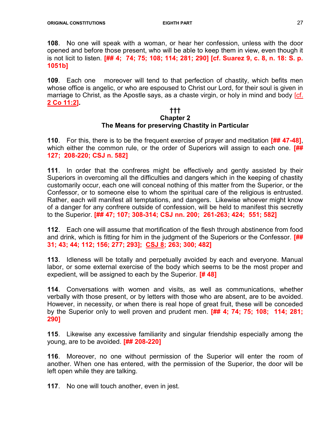108. No one will speak with a woman, or hear her confession, unless with the door opened and before those present, who will be able to keep them in view, even though it is not licit to listen. [## 4; 74; 75; 108; 114; 281; 290] [cf. Suarez 9, c. 8, n. 18: S. p. 1051b]

109. Each one moreover will tend to that perfection of chastity, which befits men whose office is angelic, or who are espoused to Christ our Lord, for their soul is given in marriage to Christ, as the Apostle says, as a chaste virgin, or holy in mind and body [cf. 2 Co 11:2].

#### ††† Chapter 2 The Means for preserving Chastity in Particular

110. For this, there is to be the frequent exercise of prayer and meditation  $\left[\frac{\text{III}}{\text{III}}\right]$  47-48], which either the common rule, or the order of Superiors will assign to each one.  $[$ ## 127; 208-220; CSJ n. 582]

111. In order that the confreres might be effectively and gently assisted by their Superiors in overcoming all the difficulties and dangers which in the keeping of chastity customarily occur, each one will conceal nothing of this matter from the Superior, or the Confessor, or to someone else to whom the spiritual care of the religious is entrusted. Rather, each will manifest all temptations, and dangers. Likewise whoever might know of a danger for any confrere outside of confession, will be held to manifest this secretly to the Superior. [## 47; 107; 308-314; CSJ nn. 200; 261-263; 424; 551; 582]

112. Each one will assume that mortification of the flesh through abstinence from food and drink, which is fitting for him in the judgment of the Superiors or the Confessor. [## 31; 43; 44; 112; 156; 277; 293]; CSJ 8; 263; 300; 482]

113. Idleness will be totally and perpetually avoided by each and everyone. Manual labor, or some external exercise of the body which seems to be the most proper and expedient, will be assigned to each by the Superior. **[#48]** 

114. Conversations with women and visits, as well as communications, whether verbally with those present, or by letters with those who are absent, are to be avoided. However, in necessity, or when there is real hope of great fruit, these will be conceded by the Superior only to well proven and prudent men. [## 4; 74; 75; 108; 114; 281; 290]

115. Likewise any excessive familiarity and singular friendship especially among the young, are to be avoided. [## 208-220]

116. Moreover, no one without permission of the Superior will enter the room of another. When one has entered, with the permission of the Superior, the door will be left open while they are talking.

117. No one will touch another, even in jest.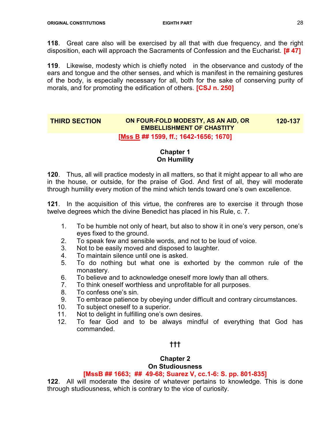118. Great care also will be exercised by all that with due frequency, and the right disposition, each will approach the Sacraments of Confession and the Eucharist. [# 47]

119. Likewise, modesty which is chiefly noted in the observance and custody of the ears and tongue and the other senses, and which is manifest in the remaining gestures of the body, is especially necessary for all, both for the sake of conserving purity of morals, and for promoting the edification of others. **[CSJ n. 250]** 

#### THIRD SECTION ON FOUR-FOLD MODESTY, AS AN AID, OR EMBELLISHMENT OF CHASTITY 120-137

#### [Mss B ## 1599, ff.; 1642-1656; 1670]

# Chapter 1 On Humility

120. Thus, all will practice modesty in all matters, so that it might appear to all who are in the house, or outside, for the praise of God. And first of all, they will moderate through humility every motion of the mind which tends toward one's own excellence.

121. In the acquisition of this virtue, the confreres are to exercise it through those twelve degrees which the divine Benedict has placed in his Rule, c. 7.

- 1. To be humble not only of heart, but also to show it in one's very person, one's eyes fixed to the ground.
- 2. To speak few and sensible words, and not to be loud of voice.
- 3. Not to be easily moved and disposed to laughter.
- 4. To maintain silence until one is asked.
- 5. To do nothing but what one is exhorted by the common rule of the monastery.
- 6. To believe and to acknowledge oneself more lowly than all others.
- 7. To think oneself worthless and unprofitable for all purposes.
- 8. To confess one's sin.
- 9. To embrace patience by obeying under difficult and contrary circumstances.
- 10. To subject oneself to a superior.
- 11. Not to delight in fulfilling one's own desires.
- 12. To fear God and to be always mindful of everything that God has commanded.

# †††

#### Chapter 2 On Studiousness

# [MssB ## 1663; ## 49-68; Suarez V, cc.1-6: S. pp. 801-835]

122. All will moderate the desire of whatever pertains to knowledge. This is done through studiousness, which is contrary to the vice of curiosity.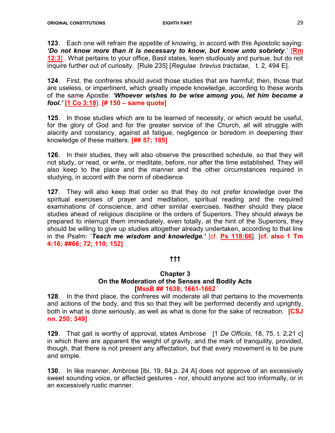123. Each one will refrain the appetite of knowing, in accord with this Apostolic saying: 'Do not know more than it is necessary to know, but know unto sobriety.' [Rm **12:3]** What pertains to your office, Basil states, learn studiously and pursue, but do not inquire further out of curiosity. [Rule 235] [Regulae brevius tractatae, t. 2, 494 E].

124. First, the confreres should avoid those studies that are harmful; then, those that are useless, or impertinent, which greatly impede knowledge, according to these words of the same Apostle: 'Whoever wishes to be wise among you, let him become a fool.' [1 Co 3:18]. [# 150 – same quote]

125. In those studies which are to be learned of necessity, or which would be useful, for the glory of God and for the greater service of the Church, all will struggle with alacrity and constancy, against all fatigue, negligence or boredom in deepening their knowledge of these matters. **[## 57; 185]** 

126. In their studies, they will also observe the prescribed schedule, so that they will not study, or read, or write, or meditate, before, nor after the time established. They will also keep to the place and the manner and the other circumstances required in studying, in accord with the norm of obedience.

127. They will also keep that order so that they do not prefer knowledge over the spiritual exercises of prayer and meditation, spiritual reading and the required examinations of conscience, and other similar exercises. Neither should they place studies ahead of religious discipline or the orders of Superiors. They should always be prepared to interrupt them immediately, even totally, at the hint of the Superiors, they should be willing to give up studies altogether already undertaken, according to that line in the Psalm: 'Teach me wisdom and knowledge.' [cf. Ps 118:66]. [cf. also 1 Tm 4:16; ##66; 72; 110; 152]

# †††

#### Chapter 3 On the Moderation of the Senses and Bodily Acts [MssB ## 1638; 1661-1662

128. In the third place, the confreres will moderate all that pertains to the movements and actions of the body, and this so that they will be performed decently and uprightly, both in what is done seriously, as well as what is done for the sake of recreation. **[CSJ** nn. 250; 349]

129. That gait is worthy of approval, states Ambrose [1 De Officiis, 18, 75. t. 2,21 c] in which there are apparent the weight of gravity, and the mark of tranquility, provided, though, that there is not present any affectation, but that every movement is to be pure and simple.

130. In like manner, Ambrose [ibi, 19, 84,p. 24 A] does not approve of an excessively sweet sounding voice, or affected gestures - nor, should anyone act too informally, or in an excessively rustic manner.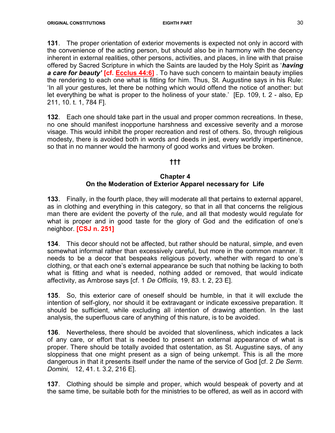131. The proper orientation of exterior movements is expected not only in accord with the convenience of the acting person, but should also be in harmony with the decency inherent in external realities, other persons, activities, and places, in line with that praise offered by Sacred Scripture in which the Saints are lauded by the Holy Spirit as 'having a care for beauty' [cf. Ecclus 44:6] To have such concern to maintain beauty implies the rendering to each one what is fitting for him. Thus, St. Augustine says in his Rule: 'In all your gestures, let there be nothing which would offend the notice of another: but let everything be what is proper to the holiness of your state.' [Ep. 109, t. 2 - also, Ep 211, 10. t. 1, 784 F].

132. Each one should take part in the usual and proper common recreations. In these, no one should manifest inopportune harshness and excessive severity and a morose visage. This would inhibit the proper recreation and rest of others. So, through religious modesty, there is avoided both in words and deeds in jest, every worldly impertinence, so that in no manner would the harmony of good works and virtues be broken.

# †††

#### Chapter 4 On the Moderation of Exterior Apparel necessary for Life

133. Finally, in the fourth place, they will moderate all that pertains to external apparel, as in clothing and everything in this category, so that in all that concerns the religious man there are evident the poverty of the rule, and all that modesty would regulate for what is proper and in good taste for the glory of God and the edification of one's neighbor. **[CSJ n. 251]** 

134. This decor should not be affected, but rather should be natural, simple, and even somewhat informal rather than excessively careful, but more in the common manner. It needs to be a decor that bespeaks religious poverty, whether with regard to one's clothing, or that each one's external appearance be such that nothing be lacking to both what is fitting and what is needed, nothing added or removed, that would indicate affectivity, as Ambrose says [cf. 1 De Officiis, 19, 83. t. 2, 23 E].

135. So, this exterior care of oneself should be humble, in that it will exclude the intention of self-glory, nor should it be extravagant or indicate excessive preparation. It should be sufficient, while excluding all intention of drawing attention. In the last analysis, the superfluous care of anything of this nature, is to be avoided.

136. Nevertheless, there should be avoided that slovenliness, which indicates a lack of any care, or effort that is needed to present an external appearance of what is proper. There should be totally avoided that ostentation, as St. Augustine says, of any sloppiness that one might present as a sign of being unkempt. This is all the more dangerous in that it presents itself under the name of the service of God [cf. 2 De Serm. Domini, 12, 41. t. 3.2, 216 E].

137. Clothing should be simple and proper, which would bespeak of poverty and at the same time, be suitable both for the ministries to be offered, as well as in accord with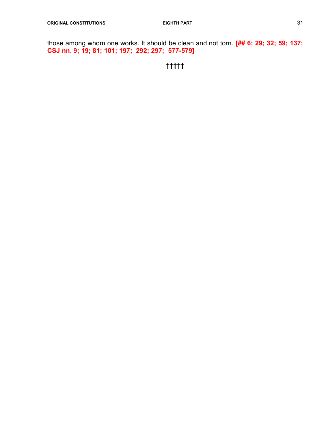those among whom one works. It should be clean and not torn. [## 6; 29; 32; 59; 137; CSJ nn. 9; 19; 81; 101; 197; 292; 297; 577-579]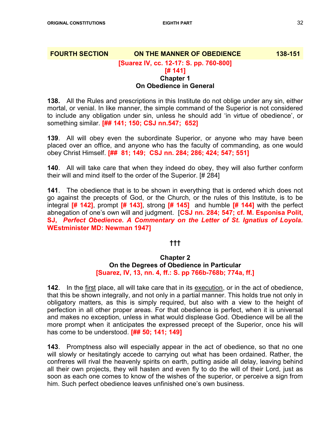# **FOURTH SECTION ON THE MANNER OF OBEDIENCE** 138-151 [Suarez IV, cc. 12-17: S. pp. 760-800] [# 141] Chapter 1

# On Obedience in General

138. All the Rules and prescriptions in this Institute do not oblige under any sin, either mortal, or venial. In like manner, the simple command of the Superior is not considered to include any obligation under sin, unless he should add 'in virtue of obedience', or something similar. [## 141; 150; CSJ nn.547; 652]

139. All will obey even the subordinate Superior, or anyone who may have been placed over an office, and anyone who has the faculty of commanding, as one would obey Christ Himself. [## 81; 149; CSJ nn. 284; 286; 424; 547; 551]

140. All will take care that when they indeed do obey, they will also further conform their will and mind itself to the order of the Superior. [# 284]

141. The obedience that is to be shown in everything that is ordered which does not go against the precepts of God, or the Church, or the rules of this Institute, is to be integral  $[# 142]$ , prompt  $[# 143]$ , strong  $[# 145]$  and humble  $[# 144]$  with the perfect abnegation of one's own will and judgment. **[CSJ nn. 284; 547; cf. M. Esponisa Polit,** SJ, Perfect Obedience. A Commentary on the Letter of St. Ignatius of Loyola. WEstminister MD: Newman 1947]

# †††

# Chapter 2

# On the Degrees of Obedience in Particular [Suarez, IV, 13, nn. 4, ff.: S. pp 766b-768b; 774a, ff.]

142. In the first place, all will take care that in its execution, or in the act of obedience, that this be shown integrally, and not only in a partial manner. This holds true not only in obligatory matters, as this is simply required, but also with a view to the height of perfection in all other proper areas. For that obedience is perfect, when it is universal and makes no exception, unless in what would displease God. Obedience will be all the more prompt when it anticipates the expressed precept of the Superior, once his will has come to be understood. [## 50; 141; 149]

143. Promptness also will especially appear in the act of obedience, so that no one will slowly or hesitatingly accede to carrying out what has been ordained. Rather, the confreres will rival the heavenly spirits on earth, putting aside all delay, leaving behind all their own projects, they will hasten and even fly to do the will of their Lord, just as soon as each one comes to know of the wishes of the superior, or perceive a sign from him. Such perfect obedience leaves unfinished one's own business.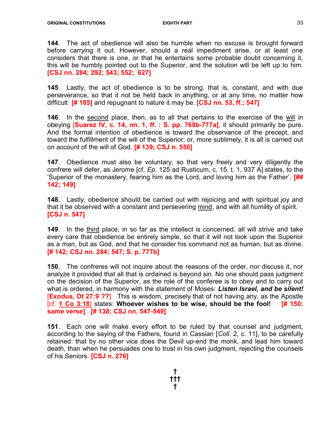144. The act of obedience will also be humble when no excuse is brought forward before carrying it out. However, should a real impediment arise, or at least one considers that there is one, or that he entertains some probable doubt concerning it, this will be humbly pointed out to the Superior, and the solution will be left up to him. [CSJ nn. 284; 292; 543; 552; 627]

145. Lastly, the act of obedience is to be strong, that is, constant, and with due perseverance, so that it not be held back in anything, or at any time, no matter how difficult  $[# 185]$  and repugnant to nature it may be.  $[CSJ \text{ nn. } 53, \text{ ff.}; 547]$ 

146. In the second place, then, as to all that pertains to the exercise of the will in obeying [Suarez IV, c. 14, nn. 1, ff. : S. pp. 768b-777a], it should primarily be pure. And the formal intention of obedience is toward the observance of the precept, and toward the fulfillment of the will of the Superior; or, more sublimely, it is all is carried out on account of the will of God. [# 139; CSJ n. 550]

147. Obedience must also be voluntary, so that very freely and very diligently the confrere will defer, as Jerome [cf. Ep. 125 ad Rusticum, c. 15. t. 1, 937 A] states, to the 'Superior of the monastery, fearing him as the Lord, and loving him as the Father'. [## 142; 149]

148. Lastly, obedience should be carried out with rejoicing and with spiritual joy and that it be observed with a constant and persevering mind, and with all humility of spirit. [CSJ n. 547]

149. In the third place, in so far as the intellect is concerned, all will strive and take every care that obedience be entirely simple, so that it will not look upon the Superior as a man, but as God, and that he consider his command not as human, but as divine. [# 142; CSJ nn. 284; 547; S. p. 777b]

150. The confreres will not inquire about the reasons of the order, nor discuss it, nor analyze it provided that all that is ordained is beyond sin. No one should pass judgment on the decision of the Superior, as the role of the conferee is to obey and to carry out what is ordered, in harmony with the statement of Moses: Listen Israel, and be silent! [Exodus, Dt 27:9 ??] This is wisdom, precisely that of not having any, as the Apostle [cf. 1 Co 3:18] states: Whoever wishes to be wise, should be the fool! [# 150: same verse] [# 138; CSJ nn. 547-549]

151. Each one will make every effort to be ruled by that counsel and judgment, according to the saying of the Fathers, found in Cassian [Coll. 2, c. 11], to be carefully retained: that by no other vice does the Devil up-end the monk, and lead him toward death, than when he persuades one to trust in his own judgment, rejecting the counsels of his Seniors. **[CSJ n. 276]** 

> † ††† †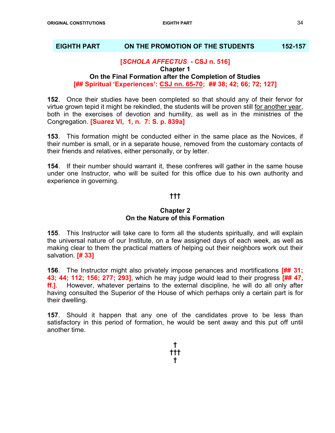#### EIGHTH PART ON THE PROMOTION OF THE STUDENTS 152-157

#### [SCHOLA AFFECTUS - CSJ n. 516]

Chapter 1

# On the Final Formation after the Completion of Studies [## Spiritual 'Experiences': CSJ nn. 65-70; ## 38; 42; 66; 72; 127]

152. Once their studies have been completed so that should any of their fervor for virtue grown tepid it might be rekindled, the students will be proven still for another year, both in the exercises of devotion and humility, as well as in the ministries of the Congregation. [Suarez VI, 1, n. 7: S. p. 839a]

153. This formation might be conducted either in the same place as the Novices, if their number is small, or in a separate house, removed from the customary contacts of their friends and relatives, either personally, or by letter.

154. If their number should warrant it, these confreres will gather in the same house under one Instructor, who will be suited for this office due to his own authority and experience in governing.

# †††

#### Chapter 2 On the Nature of this Formation

155. This Instructor will take care to form all the students spiritually, and will explain the universal nature of our Institute, on a few assigned days of each week, as well as making clear to them the practical matters of helping out their neighbors work out their salvation. **[# 33]** 

156. The Instructor might also privately impose penances and mortifications [## 31; 43; 44; 112; 156; 277; 293], which he may judge would lead to their progress [## 47, ff.]. However, whatever pertains to the external discipline, he will do all only after having consulted the Superior of the House of which perhaps only a certain part is for their dwelling.

157. Should it happen that any one of the candidates prove to be less than satisfactory in this period of formation, he would be sent away and this put off until another time.

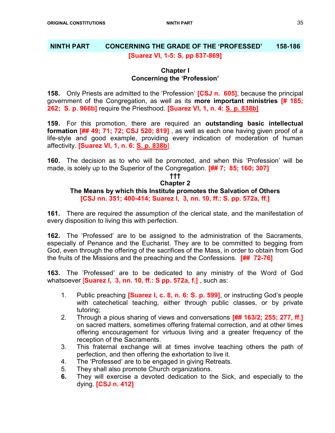# NINTH PART CONCERNING THE GRADE OF THE 'PROFESSED' 158-186 [Suarez VI, 1-5: S. pp 837-869]

# Chapter I Concerning the 'Profession'

158. Only Priests are admitted to the 'Profession' **[CSJ n. 605]**, because the principal government of the Congregation, as well as its more important ministries [# 185; 262; S. p. 966b] require the Priesthood. [Suarez VI, 1, n. 4: S. p. 838b]

159. For this promotion, there are required an outstanding basic intellectual formation  $\left[\frac{1}{44}49; 71; 72; CSJ 520; 819\right]$ , as well as each one having given proof of a life-style and good example, providing every indication of moderation of human affectivity. [Suarez VI, 1, n. 6: S. p. 838b]

160. The decision as to who will be promoted, and when this 'Profession' will be made, is solely up to the Superior of the Congregation. [## 7; 85; 160; 307]

#### ††† Chapter 2 The Means by which this Institute promotes the Salvation of Others [CSJ nn. 351; 400-414; Suarez I, 3, nn. 10, ff.: S. pp. 572a, ff.]

161. There are required the assumption of the clerical state, and the manifestation of every disposition to living this with perfection.

162. The 'Professed' are to be assigned to the administration of the Sacraments, especially of Penance and the Eucharist. They are to be committed to begging from God, even through the offering of the sacrifices of the Mass, in order to obtain from God the fruits of the Missions and the preaching and the Confessions. **[## 72-76]** 

163. The 'Professed' are to be dedicated to any ministry of the Word of God whatsoever [Suarez I, 3, nn. 10, ff.: S pp. 572a, f.] , such as:

- 1. Public preaching **[Suarez I, c. 8, n. 6: S. p. 599]**, or instructing God's people with catechetical teaching, either through public classes, or by private tutoring;
- 2. Through a pious sharing of views and conversations **[## 163/2; 255; 277, ff.]** on sacred matters, sometimes offering fraternal correction, and at other times offering encouragement for virtuous living and a greater frequency of the reception of the Sacraments.
- 3. This fraternal exchange will at times involve teaching others the path of perfection, and then offering the exhortation to live it.
- 4. The 'Professed' are to be engaged in giving Retreats.
- 5. They shall also promote Church organizations.
- 6. They will exercise a devoted dedication to the Sick, and especially to the dying. [CSJ n. 412]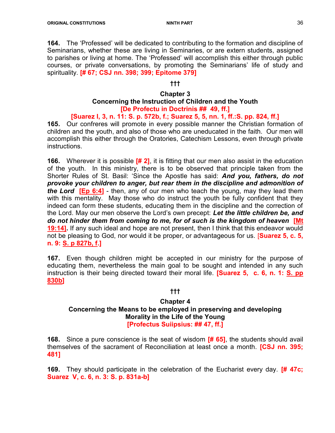164. The 'Professed' will be dedicated to contributing to the formation and discipline of Seminarians, whether these are living in Seminaries, or are extern students, assigned to parishes or living at home. The 'Professed' will accomplish this either through public courses, or private conversations, by promoting the Seminarians' life of study and spirituality. [# 67; CSJ nn. 398; 399; Epitome 379]

#### †††

#### Chapter 3

# Concerning the Instruction of Children and the Youth [De Profectu in Doctrinis ## 49, ff.]

# [Suarez I, 3, n. 11: S. p. 572b, f.; Suarez 5, 5, nn. 1, ff.:S. pp. 824, ff.]

165. Our confreres will promote in every possible manner the Christian formation of children and the youth, and also of those who are uneducated in the faith. Our men will accomplish this either through the Oratories, Catechism Lessons, even through private instructions.

**166.** Wherever it is possible  $\left[\frac{\text{# }2\right]$ , it is fitting that our men also assist in the education of the youth. In this ministry, there is to be observed that principle taken from the Shorter Rules of St. Basil: 'Since the Apostle has said: **And you, fathers, do not** provoke your children to anger, but rear them in the discipline and admonition of the Lord [Ep 6:4] - then, any of our men who teach the young, may they lead them with this mentality. May those who do instruct the youth be fully confident that they indeed can form these students, educating them in the discipline and the correction of the Lord. May our men observe the Lord's own precept: Let the little children be, and do not hinder them from coming to me, for of such is the kingdom of heaven [Mt 19:14]. If any such ideal and hope are not present, then I think that this endeavor would not be pleasing to God, nor would it be proper, or advantageous for us. **[Suarez 5, c. 5,** n. 9: S. p 827b, f.]

167. Even though children might be accepted in our ministry for the purpose of educating them, nevertheless the main goal to be sought and intended in any such instruction is their being directed toward their moral life. **[Suarez 5, c. 6, n. 1: S. pp** 830b]

# †††

#### Chapter 4 Concerning the Means to be employed in preserving and developing Morality in the Life of the Young [Profectus Suiipsius: ## 47, ff.]

**168.** Since a pure conscience is the seat of wisdom [# 65], the students should avail themselves of the sacrament of Reconciliation at least once a month. **[CSJ nn. 395;** 481]

**169.** They should participate in the celebration of the Eucharist every day. **[# 47c;** Suarez V, c. 6, n. 3: S. p. 831a-b]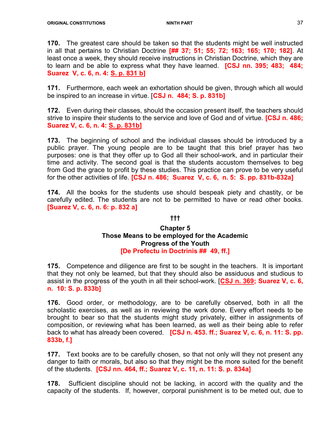170. The greatest care should be taken so that the students might be well instructed in all that pertains to Christian Doctrine [## 37; 51; 55; 72; 163; 165; 170; 182]. At least once a week, they should receive instructions in Christian Doctrine, which they are to learn and be able to express what they have learned. **[CSJ nn. 395; 483; 484;** Suarez V, c. 6, n. 4: S. p. 831 b]

171. Furthermore, each week an exhortation should be given, through which all would be inspired to an increase in virtue. [CSJ n. 484; S. p. 831b]

172. Even during their classes, should the occasion present itself, the teachers should strive to inspire their students to the service and love of God and of virtue. **[CSJ n. 486;** Suarez V, c. 6, n. 4: S. p. 831b]

173. The beginning of school and the individual classes should be introduced by a public prayer. The young people are to be taught that this brief prayer has two purposes: one is that they offer up to God all their school-work, and in particular their time and activity. The second goal is that the students accustom themselves to beg from God the grace to profit by these studies. This practice can prove to be very useful for the other activities of life. [CSJ n. 486; Suarez V, c. 6, n. 5: S. pp. 831b-832a]

174. All the books for the students use should bespeak piety and chastity, or be carefully edited. The students are not to be permitted to have or read other books. [Suarez V, c. 6, n. 6: p. 832 a]

#### †††

# Chapter 5 Those Means to be employed for the Academic Progress of the Youth [De Profectu in Doctrinis ## 49, ff.]

175. Competence and diligence are first to be sought in the teachers. It is important that they not only be learned, but that they should also be assiduous and studious to assist in the progress of the youth in all their school-work. [CSJ n. 369; Suarez V, c. 6, n. 10: S. p. 833b]

176. Good order, or methodology, are to be carefully observed, both in all the scholastic exercises, as well as in reviewing the work done. Every effort needs to be brought to bear so that the students might study privately, either in assignments of composition, or reviewing what has been learned, as well as their being able to refer back to what has already been covered. [CSJ n. 453. ff.; Suarez V, c. 6, n. 11: S. pp. 833b, f.]

177. Text books are to be carefully chosen, so that not only will they not present any danger to faith or morals, but also so that they might be the more suited for the benefit of the students. [CSJ nn. 464, ff.; Suarez V, c. 11, n. 11: S. p. 834a]

178. Sufficient discipline should not be lacking, in accord with the quality and the capacity of the students. If, however, corporal punishment is to be meted out, due to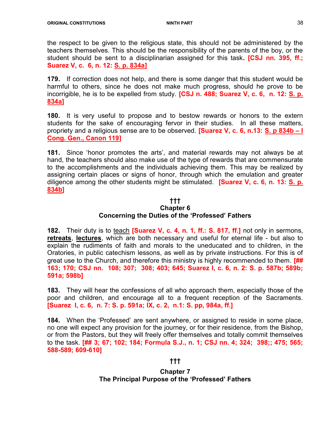the respect to be given to the religious state, this should not be administered by the teachers themselves. This should be the responsibility of the parents of the boy, or the student should be sent to a disciplinarian assigned for this task. **[CSJ nn. 395, ff.;** Suarez V, c. 6, n. 12: S. p. 834a]

179. If correction does not help, and there is some danger that this student would be harmful to others, since he does not make much progress, should he prove to be incorrigible, he is to be expelled from study. [CSJ n. 488; Suarez V, c. 6, n. 12: S. p. 834a]

180. It is very useful to propose and to bestow rewards or honors to the extern students for the sake of encouraging fervor in their studies. In all these matters, propriety and a religious sense are to be observed. [Suarez V, c. 6, n.13: S. p 834b – I Cong. Gen., Canon 119]

181. Since 'honor promotes the arts', and material rewards may not always be at hand, the teachers should also make use of the type of rewards that are commensurate to the accomplishments and the individuals achieving them. This may be realized by assigning certain places or signs of honor, through which the emulation and greater diligence among the other students might be stimulated. **[Suarez V, c. 6, n. 13: S. p.** 834b]

#### ††† Chapter 6 Concerning the Duties of the 'Professed' Fathers

182. Their duty is to teach **[Suarez V, c. 4, n. 1, ff.: S. 817, ff.]** not only in sermons, retreats. lectures, which are both necessary and useful for eternal life - but also to explain the rudiments of faith and morals to the uneducated and to children, in the Oratories, in public catechism lessons, as well as by private instructions. For this is of great use to the Church, and therefore this ministry is highly recommended to them.  $[$ ## 163; 170; CSJ nn. 108; 307; 308; 403; 645; Suarez I, c. 6, n. 2: S. p. 587b; 589b; 591a; 598b]

183. They will hear the confessions of all who approach them, especially those of the poor and children, and encourage all to a frequent reception of the Sacraments. [Suarez I, c. 6, n. 7: S. p. 591a; IX, c. 2, n.1: S. pp, 984a, ff.]

184. When the 'Professed' are sent anywhere, or assigned to reside in some place, no one will expect any provision for the journey, or for their residence, from the Bishop, or from the Pastors, but they will freely offer themselves and totally commit themselves to the task. [## 3; 67; 102; 184; Formula S.J., n. 1; CSJ nn. 4; 324; 398;; 475; 565; 588-589; 609-610]

#### †††

# Chapter 7 The Principal Purpose of the 'Professed' Fathers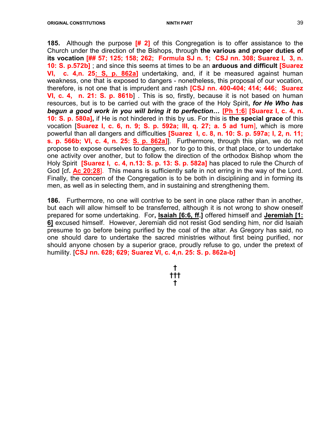**185.** Although the purpose  $\left[\frac{\text{#}}{\text{2}}\right]$  of this Congregation is to offer assistance to the Church under the direction of the Bishops, through the various and proper duties of its vocation [## 57; 125; 158; 262; Formula SJ n. 1; CSJ nn. 308; Suarez I, 3, n. 10: S. p.572b]; and since this seems at times to be an arduous and difficult [Suarez] VI, c. 4,n. 25: S, p. 862a] undertaking, and, if it be measured against human weakness, one that is exposed to dangers - nonetheless, this proposal of our vocation, therefore, is not one that is imprudent and rash **[CSJ nn. 400-404; 414; 446; Suarez** VI, c. 4, n. 21: S. p. 861b] . This is so, firstly, because it is not based on human resources, but is to be carried out with the grace of the Holy Spirit, for He Who has begun a good work in you will bring it to perfection… [Ph 1:6] [Suarez I, c. 4, n. 10: S. p. 580a], if He is not hindered in this by us. For this is the special grace of this vocation [Suarez I, c. 6, n. 9; S. p. 592a; III, q. 27; a. 5 ad 1um], which is more powerful than all dangers and difficulties **[Suarez I, c. 8, n. 10: S. p. 597a; I, 2, n. 11;** s. p. 566b; VI, c. 4, n. 25: S. p. 862a]]. Furthermore, through this plan, we do not propose to expose ourselves to dangers, nor to go to this, or that place, or to undertake one activity over another, but to follow the direction of the orthodox Bishop whom the Holy Spirit **[Suarez I, c. 4, n.13: S. p. 13: S. p. 582a]** has placed to rule the Church of God [cf. **Ac 20:28**]. This means is sufficiently safe in not erring in the way of the Lord. Finally, the concern of the Congregation is to be both in disciplining and in forming its men, as well as in selecting them, and in sustaining and strengthening them.

**186.** Furthermore, no one will contrive to be sent in one place rather than in another, but each will allow himself to be transferred, although it is not wrong to show oneself prepared for some undertaking. For, Isaiah [6:6, ff.] offered himself and Jeremiah [1: 6] excused himself. However, Jeremiah did not resist God sending him, nor did Isaiah presume to go before being purified by the coal of the altar. As Gregory has said, no one should dare to undertake the sacred ministries without first being purified, nor should anyone chosen by a superior grace, proudly refuse to go, under the pretext of humility. [CSJ nn. 628; 629; Suarez VI, c. 4,n. 25: S. p. 862a-b]

> † ††† †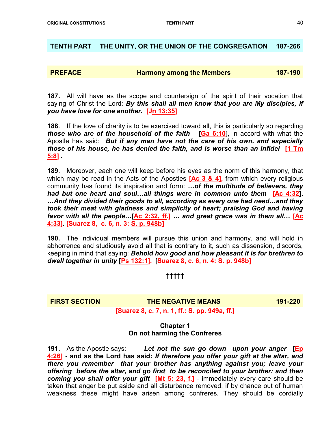# TENTH PART THE UNITY, OR THE UNION OF THE CONGREGATION 187-266

# **PREFACE Harmony among the Members** 187-190

187. All will have as the scope and countersign of the spirit of their vocation that saying of Christ the Lord: By this shall all men know that you are My disciples, if you have love for one another. [Jn 13:35]

188. If the love of charity is to be exercised toward all, this is particularly so regarding those who are of the household of the faith  $[Ga 6:10]$ , in accord with what the Apostle has said: But if any man have not the care of his own, and especially those of his house, he has denied the faith, and is worse than an infidel [1 Tm 5:8] .

189. Moreover, each one will keep before his eyes as the norm of this harmony, that which may be read in the Acts of the Apostles  $[Ac 3 & 4]$ , from which every religious community has found its inspiration and form: ... of the multitude of believers, they had but one heart and soul...all things were in common unto them [Ac 4:32]. …And they divided their goods to all, according as every one had need…and they took their meat with gladness and simplicity of heart; praising God and having favor with all the people...[Ac 2:32, ff.] ... and great grace was in them all... [Ac 4:33]. [Suarez 8, c. 6, n. 3: S. p. 948b]

190. The individual members will pursue this union and harmony, and will hold in abhorrence and studiously avoid all that is contrary to it, such as dissension, discords, keeping in mind that saying: Behold how good and how pleasant it is for brethren to dwell together in unity [Ps 132:1]. [Suarez 8, c. 6, n. 4: S. p. 948b]

# †††††

FIRST SECTION **THE NEGATIVE MEANS** 191-220

[Suarez 8, c. 7, n. 1, ff.: S. pp. 949a, ff.]

# Chapter 1 On not harming the Confreres

191. As the Apostle says: Let not the sun go down upon your anger [Ep 4:26] - and as the Lord has said: If therefore you offer your gift at the altar, and there you remember that your brother has anything against you; leave your offering before the altar, and go first to be reconciled to your brother: and then coming you shall offer your gift  $[Mt 5: 23, f.]$  - immediately every care should be taken that anger be put aside and all disturbance removed, if by chance out of human weakness these might have arisen among confreres. They should be cordially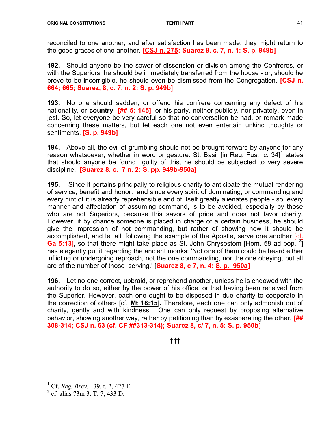reconciled to one another, and after satisfaction has been made, they might return to the good graces of one another.  $[CSJ n. 275; Suarez 8, c. 7, n. 1: S. p. 949b]$ 

192. Should anyone be the sower of dissension or division among the Confreres, or with the Superiors, he should be immediately transferred from the house - or, should he prove to be incorrigible, he should even be dismissed from the Congregation. **[CSJ n.** 664; 665; Suarez, 8, c. 7, n. 2: S. p. 949b]

193. No one should sadden, or offend his confrere concerning any defect of his nationality, or **country** [## 5; 145], or his party, neither publicly, nor privately, even in jest. So, let everyone be very careful so that no conversation be had, or remark made concerning these matters, but let each one not even entertain unkind thoughts or sentiments. **[S. p. 949b]** 

194. Above all, the evil of grumbling should not be brought forward by anyone for any reason whatsoever, whether in word or gesture. St. Basil [in Reg. Fus., c. 34] $^\text{1}$  states that should anyone be found guilty of this, he should be subjected to very severe discipline. [Suarez 8. c. 7 n. 2: S. pp. 949b-950a]

195. Since it pertains principally to religious charity to anticipate the mutual rendering of service, benefit and honor: and since every spirit of dominating, or commanding and every hint of it is already reprehensible and of itself greatly alienates people - so, every manner and affectation of assuming command, is to be avoided, especially by those who are not Superiors, because this savors of pride and does not favor charity. However, if by chance someone is placed in charge of a certain business, he should give the impression of not commanding, but rather of showing how it should be accomplished, and let all, following the example of the Apostle, serve one another [cf. **Ga 5:13**, so that there might take place as St. John Chrysostom [Hom. 58 ad pop.  $2^{\frac{1}{2}}$ ] has elegantly put it regarding the ancient monks: 'Not one of them could be heard either inflicting or undergoing reproach, not the one commanding, nor the one obeying, but all are of the number of those serving.' [Suarez 8, c 7, n. 4: S. p. 950a]

196. Let no one correct, upbraid, or reprehend another, unless he is endowed with the authority to do so, either by the power of his office, or that having been received from the Superior. However, each one ought to be disposed in due charity to cooperate in the correction of others [cf. Mt 18:15]. Therefore, each one can only admonish out of charity, gently and with kindness. One can only request by proposing alternative behavior, showing another way, rather by petitioning than by exasperating the other. [## 308-314; CSJ n. 63 (cf. CF ##313-314); Suarez 8, c/ 7, n. 5: S. p. 950b]

†††

j

<sup>1</sup> Cf. Reg. Brev. 39, t. 2, 427 E.

<sup>&</sup>lt;sup>2</sup> cf. alias 73m 3. T. 7, 433 D.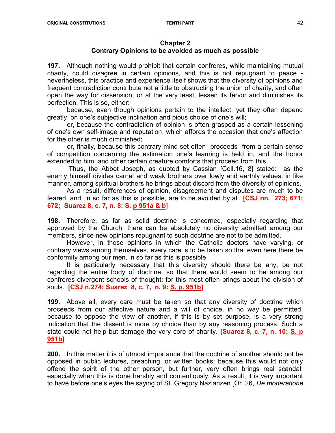#### Chapter 2 Contrary Opinions to be avoided as much as possible

197. Although nothing would prohibit that certain confreres, while maintaining mutual charity, could disagree in certain opinions, and this is not repugnant to peace nevertheless, this practice and experience itself shows that the diversity of opinions and frequent contradiction contribute not a little to obstructing the union of charity, and often open the way for dissension, or at the very least, lessen its fervor and diminishes its perfection. This is so, either:

because, even though opinions pertain to the intellect, yet they often depend greatly on one's subjective inclination and pious choice of one's will;

or, because the contradiction of opinion is often grasped as a certain lessening of one's own self-image and reputation, which affords the occasion that one's affection for the other is much diminished;

or, finally, because this contrary mind-set often proceeds from a certain sense of competition concerning the estimation one's learning is held in, and the honor extended to him, and other certain creature comforts that proceed from this.

 Thus, the Abbot Joseph, as quoted by Cassian [Coll.16, 8] stated: as the enemy himself divides carnal and weak brothers over lowly and earthly values: in like manner, among spiritual brothers he brings about discord from the diversity of opinions.

 As a result, differences of opinion, disagreement and disputes are much to be feared, and, in so far as this is possible, are to be avoided by all. **[CSJ nn. 273; 671;** 672; Suarez 8, c. 7, n. 8: S. p 951a & b]

198. Therefore, as far as solid doctrine is concerned, especially regarding that approved by the Church, there can be absolutely no diversity admitted among our members, since new opinions repugnant to such doctrine are not to be admitted.

 However, in those opinions in which the Catholic doctors have varying, or contrary views among themselves, every care is to be taken so that even here there be conformity among our men, in so far as this is possible.

 It is particularly necessary that this diversity should there be any, be not regarding the entire body of doctrine, so that there would seem to be among our confreres divergent schools of thought: for this most often brings about the division of souls. [CSJ n.274; Suarez 8, c. 7, n. 9: S. p. 951b]

199. Above all, every care must be taken so that any diversity of doctrine which proceeds from our affective nature and a will of choice, in no way be permitted: because to oppose the view of another, if this is by set purpose, is a very strong indication that the dissent is more by choice than by any reasoning process. Such a state could not help but damage the very core of charity. **[Suarez 8, c. 7, n. 10: S. p** 951b]

200. In this matter it is of utmost importance that the doctrine of another should not be opposed in public lectures, preaching, or written books: because this would not only offend the spirit of the other person, but further, very often brings real scandal, especially when this is done harshly and contentiously. As a result, it is very important to have before one's eyes the saying of St. Gregory Nazianzen [Or. 26, De moderatione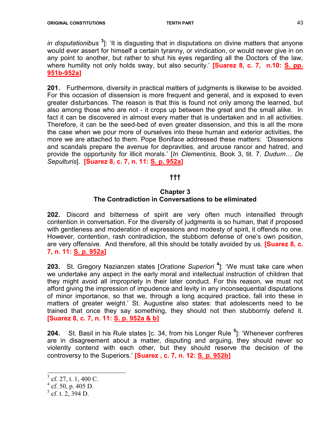*in disputationibus*  $3$ ]: 'It is disgusting that in disputations on divine matters that anyone would ever assert for himself a certain tyranny, or vindication, or would never give in on any point to another, but rather to shut his eyes regarding all the Doctors of the law, where humility not only holds sway, but also security.' **[Suarez 8, c. 7, n.10: S. pp.** 951b-952a]

201. Furthermore, diversity in practical matters of judgments is likewise to be avoided. For this occasion of dissension is more frequent and general, and is exposed to even greater disturbances. The reason is that this is found not only among the learned, but also among those who are not - it crops up between the great and the small alike. In fact it can be discovered in almost every matter that is undertaken and in all activities. Therefore, it can be the seed-bed of even greater dissension, and this is all the more the case when we pour more of ourselves into these human and exterior activities, the more we are attached to them. Pope Boniface addressed these matters: 'Dissensions and scandals prepare the avenue for depravities, and arouse rancor and hatred, and provide the opportunity for illicit morals.' [In Clementinis, Book 3, tit. 7, Dudum... De Sepulturis]. [Suarez 8, c. 7, n. 11: S. p. 952a]

# †††

#### Chapter 3 The Contradiction in Conversations to be eliminated

202. Discord and bitterness of spirit are very often much intensified through contention in conversation. For the diversity of judgments is so human, that if proposed with gentleness and moderation of expressions and modesty of spirit, it offends no one. However, contention, rash contradiction, the stubborn defense of one's own position, are very offensive. And therefore, all this should be totally avoided by us. **[Suarez 8, c.** 7, n. 11: S. p. 952a]

**203.** St. Gregory Nazianzen states [Oratione Superiori<sup>4</sup>]: 'We must take care when we undertake any aspect in the early moral and intellectual instruction of children that they might avoid all impropriety in their later conduct. For this reason, we must not afford giving the impression of impudence and levity in any inconsequential disputations of minor importance, so that we, through a long acquired practice, fall into these in matters of greater weight.' St. Augustine also states: that adolescents need to be trained that once they say something, they should not then stubbornly defend it. [Suarez 8, c. 7, n. 11: S. p. 952a & b]

**204.** St. Basil in his Rule states [c. 34, from his Longer Rule  $5$ ]: 'Whenever confreres are in disagreement about a matter, disputing and arguing, they should never so violently contend with each other, but they should reserve the decision of the controversy to the Superiors.' [Suarez, c. 7, n. 12: S. p. 952b]

 $3$  cf. 27, t. 1, 400 C.

 $^{4}$  cf. 50, p. 405 D.

 $<sup>5</sup>$  cf. t. 2, 394 D.</sup>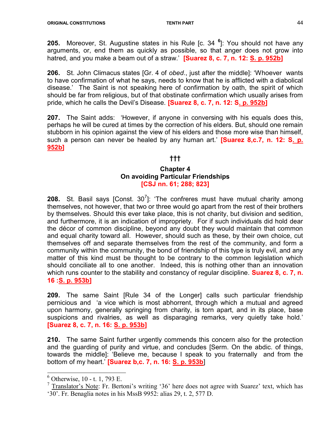**205.** Moreover, St. Augustine states in his Rule [c. 34  $^6$ ]: You should not have any arguments, or, end them as quickly as possible, so that anger does not grow into hatred, and you make a beam out of a straw.' **[Suarez 8, c. 7, n. 12: S. p. 952b]** 

206. St. John Climacus states [Gr. 4 of obed., just after the middle]: 'Whoever wants to have confirmation of what he says, needs to know that he is afflicted with a diabolical disease.' The Saint is not speaking here of confirmation by oath, the spirit of which should be far from religious, but of that obstinate confirmation which usually arises from pride, which he calls the Devil's Disease. **[Suarez 8, c. 7, n. 12: S. p. 952b]** 

207. The Saint adds: 'However, if anyone in conversing with his equals does this, perhaps he will be cured at times by the correction of his elders. But, should one remain stubborn in his opinion against the view of his elders and those more wise than himself, such a person can never be healed by any human art.' **[Suarez 8,c.7, n. 12: S. p.** 952b]

#### †††

# Chapter 4 On avoiding Particular Friendships [CSJ nn. 61; 288; 823]

**208.** St. Basil says [Const. 30<sup>7</sup>]: 'The confreres must have mutual charity among themselves, not however, that two or three would go apart from the rest of their brothers by themselves. Should this ever take place, this is not charity, but division and sedition, and furthermore, it is an indication of impropriety. For if such individuals did hold dear the décor of common discipline, beyond any doubt they would maintain that common and equal charity toward all. However, should such as these, by their own choice, cut themselves off and separate themselves from the rest of the community, and form a community within the community, the bond of friendship of this type is truly evil, and any matter of this kind must be thought to be contrary to the common legislation which should conciliate all to one another. Indeed, this is nothing other than an innovation which runs counter to the stability and constancy of regular discipline. **Suarez 8, c. 7, n.** 16 :S. p. 953b]

209. The same Saint [Rule 34 of the Longer] calls such particular friendship pernicious and 'a vice which is most abhorrent, through which a mutual and agreed upon harmony, generally springing from charity, is torn apart, and in its place, base suspicions and rivalries, as well as disparaging remarks, very quietly take hold.' [Suarez 8, c. 7, n. 16: S. p. 953b]

210. The same Saint further urgently commends this concern also for the protection and the guarding of purity and virtue, and concludes [Serm. On the abdic. of things, towards the middle]: 'Believe me, because I speak to you fraternally and from the bottom of my heart.' **[Suarez b,c. 7, n. 16: S. p. 953b]** 

 6 Otherwise, 10 - t. 1, 793 E.

 $7$  Translator's Note: Fr. Bertoni's writing '36' here does not agree with Suarez' text, which has '30'. Fr. Benaglia notes in his MssB 9952: alias 29, t. 2, 577 D.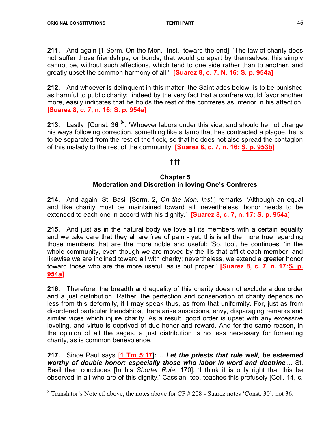211. And again [1 Serm. On the Mon. Inst., toward the end]: 'The law of charity does not suffer those friendships, or bonds, that would go apart by themselves: this simply cannot be, without such affections, which tend to one side rather than to another, and greatly upset the common harmony of all.' **[Suarez 8, c. 7. N. 16: S. p. 954a]** 

212. And whoever is delinguent in this matter, the Saint adds below, is to be punished as harmful to public charity: indeed by the very fact that a confrere would favor another more, easily indicates that he holds the rest of the confreres as inferior in his affection. [Suarez 8, c. 7, n. 16: S. p. 954a]

213. Lastly [Const. 36<sup>8</sup>]: 'Whoever labors under this vice, and should he not change his ways following correction, something like a lamb that has contracted a plague, he is to be separated from the rest of the flock, so that he does not also spread the contagion of this malady to the rest of the community. **[Suarez 8, c. 7, n. 16: S. p. 953b]** 

# †††

#### Chapter 5 Moderation and Discretion in loving One's Confreres

214. And again, St. Basil [Serm. 2, On the Mon. Inst.] remarks: 'Although an equal and like charity must be maintained toward all, nevertheless, honor needs to be extended to each one in accord with his dignity.' **[Suarez 8, c. 7, n. 17: S. p. 954a]** 

215. And just as in the natural body we love all its members with a certain equality and we take care that they all are free of pain - yet, this is all the more true regarding those members that are the more noble and useful: 'So, too', he continues, 'in the whole community, even though we are moved by the ills that afflict each member, and likewise we are inclined toward all with charity; nevertheless, we extend a greater honor toward those who are the more useful, as is but proper.' **[Suarez 8, c. 7, n. 17:S. p.** 954a]

216. Therefore, the breadth and equality of this charity does not exclude a due order and a just distribution. Rather, the perfection and conservation of charity depends no less from this deformity, if I may speak thus, as from that uniformity. For, just as from disordered particular friendships, there arise suspicions, envy, disparaging remarks and similar vices which injure charity. As a result, good order is upset with any excessive leveling, and virtue is deprived of due honor and reward. And for the same reason, in the opinion of all the sages, a just distribution is no less necessary for fomenting charity, as is common benevolence.

217. Since Paul says [1 Tm 5:17]: ... Let the priests that rule well, be esteemed worthy of double honor: especially those who labor in word and doctrine… St. Basil then concludes [In his Shorter Rule, 170]: 'I think it is only right that this be observed in all who are of this dignity.' Cassian, too, teaches this profusely [Coll. 14, c.

<sup>&</sup>lt;sup>8</sup> Translator's Note cf. above, the notes above for  $\frac{CF \# 208}{CF}$  - Suarez notes 'Const. 30', not 36.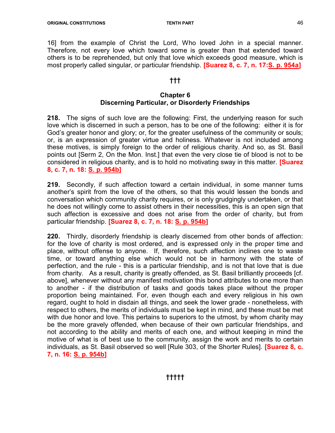16] from the example of Christ the Lord, Who loved John in a special manner. Therefore, not every love which toward some is greater than that extended toward others is to be reprehended, but only that love which exceeds good measure, which is most properly called singular, or particular friendship. **[Suarez 8, c. 7, n. 17:S. p. 954a]** 

# †††

# Chapter 6 Discerning Particular, or Disorderly Friendships

218. The signs of such love are the following: First, the underlying reason for such love which is discerned in such a person, has to be one of the following: either it is for God's greater honor and glory; or, for the greater usefulness of the community or souls; or, is an expression of greater virtue and holiness. Whatever is not included among these motives, is simply foreign to the order of religious charity. And so, as St. Basil points out [Serm 2, On the Mon. Inst.] that even the very close tie of blood is not to be considered in religious charity, and is to hold no motivating sway in this matter. [Suarez 8, c. 7, n. 18: S. p. 954b]

219. Secondly, if such affection toward a certain individual, in some manner turns another's spirit from the love of the others, so that this would lessen the bonds and conversation which community charity requires, or is only grudgingly undertaken, or that he does not willingly come to assist others in their necessities, this is an open sign that such affection is excessive and does not arise from the order of charity, but from particular friendship. [Suarez 8, c. 7, n. 18: S. p. 954b]

220. Thirdly, disorderly friendship is clearly discerned from other bonds of affection: for the love of charity is most ordered, and is expressed only in the proper time and place, without offense to anyone. If, therefore, such affection inclines one to waste time, or toward anything else which would not be in harmony with the state of perfection, and the rule - this is a particular friendship, and is not that love that is due from charity. As a result, charity is greatly offended, as St. Basil brilliantly proceeds [cf. above], whenever without any manifest motivation this bond attributes to one more than to another - if the distribution of tasks and goods takes place without the proper proportion being maintained. For, even though each and every religious in his own regard, ought to hold in disdain all things, and seek the lower grade - nonetheless, with respect to others, the merits of individuals must be kept in mind, and these must be met with due honor and love. This pertains to superiors to the utmost, by whom charity may be the more gravely offended, when because of their own particular friendships, and not according to the ability and merits of each one, and without keeping in mind the motive of what is of best use to the community, assign the work and merits to certain individuals, as St. Basil observed so well [Rule 303, of the Shorter Rules]. **[Suarez 8, c.** 7, n. 16: S. p. 954b]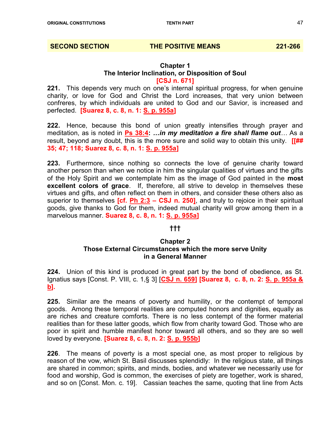#### SECOND SECTION THE POSITIVE MEANS 221-266

# Chapter 1 The Interior Inclination, or Disposition of Soul [CSJ n. 671]

221. This depends very much on one's internal spiritual progress, for when genuine charity, or love for God and Christ the Lord increases, that very union between confreres, by which individuals are united to God and our Savior, is increased and perfected. [Suarez 8, c. 8, n. 1: S. p. 955a]

222. Hence, because this bond of union greatly intensifies through prayer and meditation, as is noted in Ps 38:4: ...in my meditation a fire shall flame out... As a result, beyond any doubt, this is the more sure and solid way to obtain this unity.  $[[\# \#$ 35; 47; 118; Suarez 8, c. 8, n. 1: S. p. 955a]

223. Furthermore, since nothing so connects the love of genuine charity toward another person than when we notice in him the singular qualities of virtues and the gifts of the Holy Spirit and we contemplate him as the image of God painted in the most excellent colors of grace. If, therefore, all strive to develop in themselves these virtues and gifts, and often reflect on them in others, and consider these others also as superior to themselves  $[cf. Ph 2:3 - CSJ n. 250]$ , and truly to rejoice in their spiritual goods, give thanks to God for them, indeed mutual charity will grow among them in a marvelous manner. Suarez 8, c. 8, n. 1: S. p. 955a]

#### †††

#### Chapter 2 Those External Circumstances which the more serve Unity in a General Manner

224. Union of this kind is produced in great part by the bond of obedience, as St. Ignatius says [Const. P. VIII, c. 1,§ 3] [CSJ n. 659] [Suarez 8, c. 8, n. 2: S. p. 955a & b].

225. Similar are the means of poverty and humility, or the contempt of temporal goods. Among these temporal realities are computed honors and dignities, equally as are riches and creature comforts. There is no less contempt of the former material realities than for these latter goods, which flow from charity toward God. Those who are poor in spirit and humble manifest honor toward all others, and so they are so well loved by everyone. **[Suarez 8, c. 8, n. 2: S. p. 955b]** 

226. The means of poverty is a most special one, as most proper to religious by reason of the vow, which St. Basil discusses splendidly: In the religious state, all things are shared in common; spirits, and minds, bodies, and whatever we necessarily use for food and worship, God is common, the exercises of piety are together, work is shared, and so on [Const. Mon. c. 19]. Cassian teaches the same, quoting that line from Acts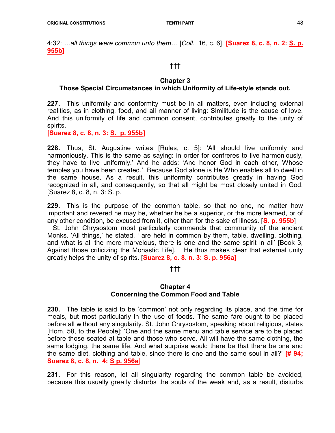4:32: ...all things were common unto them... [Coll. 16, c. 6]. [Suarez 8, c. 8, n. 2: S. p. 955b]

# †††

#### Chapter 3

# Those Special Circumstances in which Uniformity of Life-style stands out.

227. This uniformity and conformity must be in all matters, even including external realities, as in clothing, food, and all manner of living: Similitude is the cause of love. And this uniformity of life and common consent, contributes greatly to the unity of spirits.

[Suarez 8, c. 8, n. 3: S. p. 955b]

228. Thus, St. Augustine writes [Rules, c. 5]: 'All should live uniformly and harmoniously. This is the same as saying: in order for confreres to live harmoniously, they have to live uniformly.' And he adds: 'And honor God in each other, Whose temples you have been created.' Because God alone is He Who enables all to dwell in the same house. As a result, this uniformity contributes greatly in having God recognized in all, and consequently, so that all might be most closely united in God. [Suarez 8, c. 8, n. 3: S. p.

229. This is the purpose of the common table, so that no one, no matter how important and revered he may be, whether he be a superior, or the more learned, or of any other condition, be excused from it, other than for the sake of illness. [S. p. 955b]

 St. John Chrysostom most particularly commends that community of the ancient Monks. 'All things,' he stated, ' are held in common by them, table, dwelling, clothing, and what is all the more marvelous, there is one and the same spirit in all' [Book 3, Against those criticizing the Monastic Life]. He thus makes clear that external unity greatly helps the unity of spirits. [Suarez 8, c. 8. n. 3: S. p. 956a]

#### †††

# Chapter 4 Concerning the Common Food and Table

230. The table is said to be 'common' not only regarding its place, and the time for meals, but most particularly in the use of foods. The same fare ought to be placed before all without any singularity. St. John Chrysostom, speaking about religious, states [Hom. 58, to the People]: 'One and the same menu and table service are to be placed before those seated at table and those who serve. All will have the same clothing, the same lodging, the same life. And what surprise would there be that there be one and the same diet, clothing and table, since there is one and the same soul in all?  $\sharp$  94; Suarez 8, c. 8, n. 4: S p. 956a]

231. For this reason, let all singularity regarding the common table be avoided, because this usually greatly disturbs the souls of the weak and, as a result, disturbs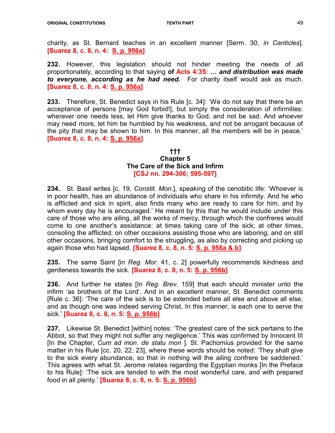charity, as St. Bernard teaches in an excellent manner [Serm. 30, in Canticles]. [Suarez 8, c. 8, n. 4: S. p. 956a]

232. However, this legislation should not hinder meeting the needs of all proportionately, according to that saying of Acts 4:35: ... and distribution was made to everyone, according as he had need. For charity itself would ask as much. [Suarez 8, c. 8, n. 4: S. p. 956a]

233. Therefore, St. Benedict says in his Rule [c. 34]: 'We do not say that there be an acceptance of persons [may God forbid!], but simply the consideration of infirmities: wherever one needs less, let Him give thanks to God, and not be sad. And whoever may need more, let him be humbled by his weakness, and not be arrogant because of the pity that may be shown to him. In this manner, all the members will be in peace.' [Suarez 8, c. 8, n. 4: S. p. 956a]

#### ††† Chapter 5 The Care of the Sick and Infirm [CSJ nn. 294-306; 595-597]

234. St. Basil writes [c. 19, *Constit. Mon.*], speaking of the cenobitic life: 'Whoever is in poor health, has an abundance of individuals who share in his infirmity. And he who is afflicted and sick in spirit, also finds many who are ready to care for him, and by whom every day he is encouraged.' He meant by this that he would include under this care of those who are ailing, all the works of mercy, through which the confreres would come to one another's assistance: at times taking care of the sick; at other times, consoling the afflicted; on other occasions assisting those who are laboring; and on still other occasions, bringing comfort to the struggling, as also by correcting and picking up again those who had lapsed. **[Suarez 8, c. 8, n. 5: S. p. 956a & b]** 

235. The same Saint [in Reg. Mor. 41, c. 2] powerfully recommends kindness and gentleness towards the sick. [Suarez 8, c. 8, n. 5: S. p. 956b]

**236.** And further he states [In Reg. Brev. 159] that each should minister unto the infirm 'as brothers of the Lord'. And in an excellent manner, St. Benedict comments [Rule c. 36]: 'The care of the sick is to be extended before all else and above all else, and as though one was indeed serving Christ. In this manner, is each one to serve the sick.' [Suarez 8, c. 8, n. 5: S. p. 956b]

237. Likewise St. Benedict [within] notes: 'The greatest care of the sick pertains to the Abbot, so that they might not suffer any negligence.' This was confirmed by Innocent III [In the Chapter, Cum ad mon. de statu mon ]. St. Pachomius provided for the same matter in his Rule [cc. 20, 22, 23], where these words should be noted: 'They shall give to the sick every abundance, so that in nothing will the ailing confrere be saddened.' This agrees with what St. Jerome relates regarding the Egyptian monks [In the Preface to his Rule]: 'The sick are tended to with the most wonderful care, and with prepared food in all plenty.' [Suarez 8, c. 8, n. 5: S. p. 956b]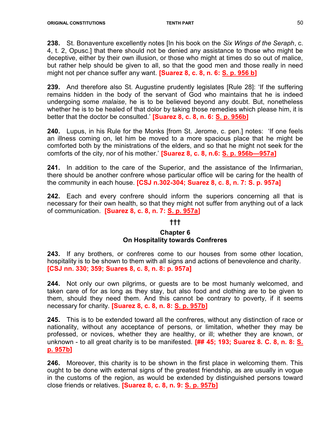238. St. Bonaventure excellently notes [In his book on the Six Wings of the Seraph, c. 4, t. 2, Opusc.] that there should not be denied any assistance to those who might be deceptive, either by their own illusion, or those who might at times do so out of malice, but rather help should be given to all, so that the good men and those really in need might not per chance suffer any want. **[Suarez 8, c. 8, n. 6: S. p. 956 b]** 

239. And therefore also St. Augustine prudently legislates [Rule 28]: 'If the suffering remains hidden in the body of the servant of God who maintains that he is indeed undergoing some malaise, he is to be believed beyond any doubt. But, nonetheless whether he is to be healed of that dolor by taking those remedies which please him, it is better that the doctor be consulted.' **[Suarez 8, c. 8, n. 6: S. p. 956b]** 

240. Lupus, in his Rule for the Monks [from St. Jerome, c. pen.] notes: 'If one feels an illness coming on, let him be moved to a more spacious place that he might be comforted both by the ministrations of the elders, and so that he might not seek for the comforts of the city, nor of his mother.' [Suarez 8, c. 8, n.6: S. p. 956b—957a]

241. In addition to the care of the Superior, and the assistance of the Infirmarian, there should be another confrere whose particular office will be caring for the health of the community in each house. [CSJ n.302-304; Suarez 8, c. 8, n. 7: S. p. 957a]

242. Each and every confrere should inform the superiors concerning all that is necessary for their own health, so that they might not suffer from anything out of a lack of communication. [Suarez 8, c. 8, n. 7: S. p. 957a]

# †††

# Chapter 6 On Hospitality towards Confreres

243. If any brothers, or confreres come to our houses from some other location, hospitality is to be shown to them with all signs and actions of benevolence and charity. [CSJ nn. 330; 359; Suares 8, c. 8, n. 8: p. 957a]

244. Not only our own pilgrims, or guests are to be most humanly welcomed, and taken care of for as long as they stay, but also food and clothing are to be given to them, should they need them. And this cannot be contrary to poverty, if it seems necessary for charity. [Suarez 8, c. 8, n. 8: S. p. 957b]

245. This is to be extended toward all the confreres, without any distinction of race or nationality, without any acceptance of persons, or limitation, whether they may be professed, or novices, whether they are healthy, or ill; whether they are known, or unknown - to all great charity is to be manifested. [## 45; 193; Suarez 8. C. 8, n. 8: S. p. 957b]

246. Moreover, this charity is to be shown in the first place in welcoming them. This ought to be done with external signs of the greatest friendship, as are usually in vogue in the customs of the region, as would be extended by distinguished persons toward close friends or relatives. [Suarez 8, c. 8, n. 9: S. p. 957b]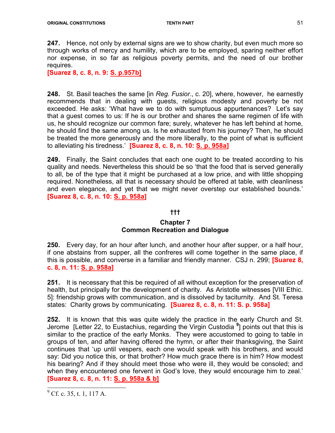**247.** Hence, not only by external signs are we to show charity, but even much more so through works of mercy and humility, which are to be employed, sparing neither effort nor expense, in so far as religious poverty permits, and the need of our brother requires.

[Suarez 8, c. 8, n. 9: S. p.957b]

248. St. Basil teaches the same [in Reg. Fusior., c. 20], where, however, he earnestly recommends that in dealing with guests, religious modesty and poverty be not exceeded. He asks: 'What have we to do with sumptuous appurtenances? Let's say that a guest comes to us: If he is our brother and shares the same regimen of life with us, he should recognize our common fare; surely, whatever he has left behind at home, he should find the same among us. Is he exhausted from his journey? Then, he should be treated the more generously and the more liberally, to the point of what is sufficient to alleviating his tiredness.' [Suarez 8, c. 8, n. 10: S. p. 958a]

249. Finally, the Saint concludes that each one ought to be treated according to his quality and needs. Nevertheless this should be so 'that the food that is served generally to all, be of the type that it might be purchased at a low price, and with little shopping required. Nonetheless, all that is necessary should be offered at table, with cleanliness and even elegance, and yet that we might never overstep our established bounds.' [Suarez 8, c. 8, n. 10: S. p. 958a]

#### †††

#### Chapter 7 Common Recreation and Dialogue

250. Every day, for an hour after lunch, and another hour after supper, or a half hour, if one abstains from supper, all the confreres will come together in the same place, if this is possible, and converse in a familiar and friendly manner. CSJ n. 299; [Suarez 8, c. 8, n. 11: S. p. 958a]

251. It is necessary that this be required of all without exception for the preservation of health, but principally for the development of charity. As Aristotle witnesses [VIII Ethic. 5]: friendship grows with communication, and is dissolved by taciturnity. And St. Teresa states: Charity grows by communicating. [Suarez 8, c. 8, n. 11: S. p. 958a]

252. It is known that this was quite widely the practice in the early Church and St. Jerome [Letter 22, to Eustachius, regarding the Virgin Custodia <sup>9</sup>] points out that this is similar to the practice of the early Monks. They were accustomed to going to table in groups of ten, and after having offered the hymn, or after their thanksgiving, the Saint continues that 'up until vespers, each one would speak with his brothers, and would say: Did you notice this, or that brother? How much grace there is in him? How modest his bearing? And if they should meet those who were ill, they would be consoled; and when they encountered one fervent in God's love, they would encourage him to zeal.' [Suarez 8, c. 8, n. 11: S. p. 958a & b]

 $9^9$  Cf. c. 35, t. 1, 117 A.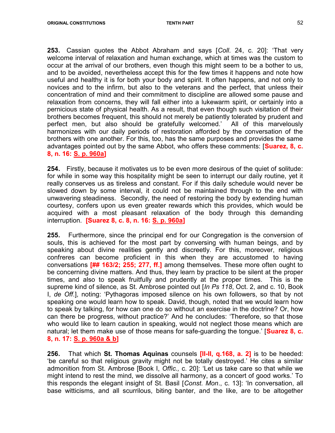**253.** Cassian quotes the Abbot Abraham and says [Coll. 24, c. 20]: 'That very welcome interval of relaxation and human exchange, which at times was the custom to occur at the arrival of our brothers, even though this might seem to be a bother to us, and to be avoided, nevertheless accept this for the few times it happens and note how useful and healthy it is for both your body and spirit. It often happens, and not only to novices and to the infirm, but also to the veterans and the perfect, that unless their concentration of mind and their commitment to discipline are allowed some pause and relaxation from concerns, they will fall either into a lukewarm spirit, or certainly into a pernicious state of physical health. As a result, that even though such visitation of their brothers becomes frequent, this should not merely be patiently tolerated by prudent and perfect men, but also should be gratefully welcomed.' All of this marvelously harmonizes with our daily periods of restoration afforded by the conversation of the brothers with one another. For this, too, has the same purposes and provides the same advantages pointed out by the same Abbot, who offers these comments: **[Suarez, 8, c.**] 8, n. 16: S. p. 960a]

254. Firstly, because it motivates us to be even more desirous of the quiet of solitude: for while in some way this hospitality might be seen to interrupt our daily routine, yet it really conserves us as tireless and constant. For if this daily schedule would never be slowed down by some interval, it could not be maintained through to the end with unwavering steadiness. Secondly, the need of restoring the body by extending human courtesy, confers upon us even greater rewards which this provides, which would be acquired with a most pleasant relaxation of the body through this demanding interruption. [Suarez 8, c. 8, n. 16: S. p. 960a]

255. Furthermore, since the principal end for our Congregation is the conversion of souls, this is achieved for the most part by conversing with human beings, and by speaking about divine realities gently and discreetly. For this, moreover, religious confreres can become proficient in this when they are accustomed to having conversations [## 163/2; 255; 277, ff.] among themselves. These more often ought to be concerning divine matters. And thus, they learn by practice to be silent at the proper times, and also to speak fruitfully and prudently at the proper times. This is the supreme kind of silence, as St. Ambrose pointed out [In Ps 118, Oct. 2, and c. 10, Book I, de Off.], noting: 'Pythagoras imposed silence on his own followers, so that by not speaking one would learn how to speak. David, though, noted that we would learn how to speak by talking, for how can one do so without an exercise in the doctrine? Or, how can there be progress, without practice?' And he concludes: 'Therefore, so that those who would like to learn caution in speaking, would not neglect those means which are natural; let them make use of those means for safe-quarding the tongue.' **Suarez 8, c.** 8, n. 17: S. p. 960a & b]

256. That which St. Thomas Aquinas counsels [II-II, q.168, a. 2] is to be heeded: 'be careful so that religious gravity might not be totally destroyed.' He cites a similar admonition from St. Ambrose [Book I, Offic., c. 20]: 'Let us take care so that while we might intend to rest the mind, we dissolve all harmony, as a concert of good works.' To this responds the elegant insight of St. Basil [Const. Mon., c. 13]: 'In conversation, all base witticisms, and all scurrilous, biting banter, and the like, are to be altogether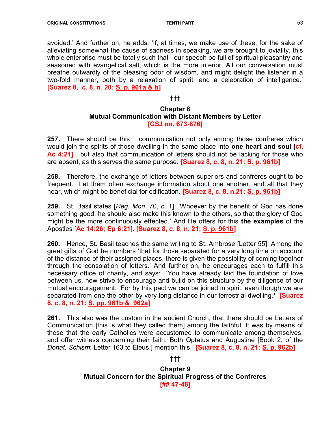avoided.' And further on, he adds: 'If, at times, we make use of these, for the sake of alleviating somewhat the cause of sadness in speaking, we are brought to joviality, this whole enterprise must be totally such that our speech be full of spiritual pleasantry and seasoned with evangelical salt, which is the more interior. All our conversation must breathe outwardly of the pleasing odor of wisdom, and might delight the listener in a two-fold manner, both by a relaxation of spirit, and a celebration of intelligence.' [Suarez 8, c. 8, n. 20: S. p. 961a & b]

# †††

# Chapter 8 Mutual Communication with Distant Members by Letter [CSJ nn. 673-676]

**257.** There should be this communication not only among those confreres which would join the spirits of those dwelling in the same place into one heart and soul  $[cf.]$ Ac 4:21], but also that communication of letters should not be lacking for those who are absent, as this serves the same purpose. [Suarez 8, c. 8, n. 21: S. p. 961b]

258. Therefore, the exchange of letters between superiors and confreres ought to be frequent. Let them often exchange information about one another, and all that they hear, which might be beneficial for edification. **[Suarez 8, c. 8, n.21: S. p. 961b]** 

**259.** St. Basil states [Reg. Mon. 70, c. 1]: 'Whoever by the benefit of God has done something good, he should also make this known to the others, so that the glory of God might be the more continuously effected.' And He offers for this the examples of the Apostles [Ac 14:26; Ep 6:21]. [Suarez 8, c. 8, n. 21: S. p. 961b]

260. Hence, St. Basil teaches the same writing to St. Ambrose [Letter 55]. Among the great gifts of God he numbers 'that for those separated for a very long time on account of the distance of their assigned places, there is given the possibility of coming together through the consolation of letters.' And further on, he encourages each to fulfill this necessary office of charity, and says: 'You have already laid the foundation of love between us, now strive to encourage and build on this structure by the diligence of our mutual encouragement. For by this pact we can be joined in spirit, even though we are separated from one the other by very long distance in our terrestrial dwelling.' **[Suarez** 8, c. 8, n. 21: S. pp. 961b & 962a]

261. This also was the custom in the ancient Church, that there should be Letters of Communication [this is what they called them] among the faithful. It was by means of these that the early Catholics were accustomed to communicate among themselves, and offer witness concerning their faith. Both Optatus and Augustine [Book 2, of the Donat. Schism; Letter 163 to Eleus.] mention this. **[Suarez 8, c. 8, n. 21: S. p. 962b]** 

#### †††

Chapter 9 Mutual Concern for the Spiritual Progress of the Confreres [## 47-48]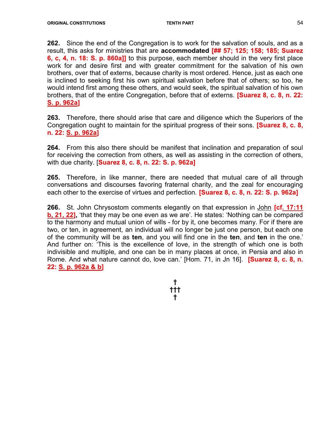262. Since the end of the Congregation is to work for the salvation of souls, and as a result, this asks for ministries that are accommodated [## 57; 125; 158; 185; Suarez 6, c, 4, n. 18: S. p. 860a]] to this purpose, each member should in the very first place work for and desire first and with greater commitment for the salvation of his own brothers, over that of externs, because charity is most ordered. Hence, just as each one is inclined to seeking first his own spiritual salvation before that of others; so too, he would intend first among these others, and would seek, the spiritual salvation of his own brothers, that of the entire Congregation, before that of externs. **[Suarez 8, c. 8, n. 22:** S. p. 962a]

263. Therefore, there should arise that care and diligence which the Superiors of the Congregation ought to maintain for the spiritual progress of their sons. **[Suarez 8, c. 8,** n. 22: S. p. 962a]

264. From this also there should be manifest that inclination and preparation of soul for receiving the correction from others, as well as assisting in the correction of others, with due charity. [Suarez 8, c. 8, n. 22: S. p. 962a]

265. Therefore, in like manner, there are needed that mutual care of all through conversations and discourses favoring fraternal charity, and the zeal for encouraging each other to the exercise of virtues and perfection. **[Suarez 8, c. 8, n. 22: S. p. 962a]** 

266. St. John Chrysostom comments elegantly on that expression in John [cf. 17:11 b, 21, 22], 'that they may be one even as we are'. He states: 'Nothing can be compared to the harmony and mutual union of wills - for by it, one becomes many. For if there are two, or ten, in agreement, an individual will no longer be just one person, but each one of the community will be as ten, and you will find one in the ten, and ten in the one.' And further on: 'This is the excellence of love, in the strength of which one is both indivisible and multiple, and one can be in many places at once, in Persia and also in Rome. And what nature cannot do, love can.' [Hom. 71, in Jn 16]. **[Suarez 8, c. 8, n.** 22: S. p. 962a & b]

> † ††† †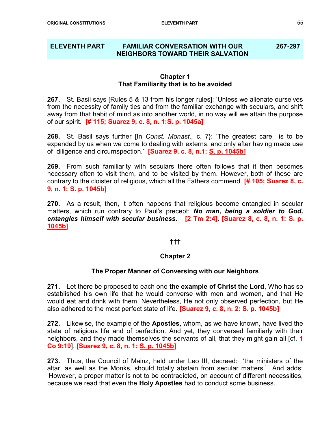#### ELEVENTH PART FAMILIAR CONVERSATION WITH OUR NEIGHBORS TOWARD THEIR SALVATION 267-297

#### Chapter 1 That Familiarity that is to be avoided

267. St. Basil says [Rules 5 & 13 from his longer rules]: 'Unless we alienate ourselves from the necessity of family ties and from the familiar exchange with seculars, and shift away from that habit of mind as into another world, in no way will we attain the purpose of our spirit. [# 115; Suarez 9, c. 8, n. 1:S. p. 1045a]

**268.** St. Basil says further [In *Const. Monast., c.* 7}: 'The greatest care is to be expended by us when we come to dealing with externs, and only after having made use of diligence and circumspection.' [Suarez 9, c. 8, n.1; S. p. 1045b]

269. From such familiarity with seculars there often follows that it then becomes necessary often to visit them, and to be visited by them. However, both of these are contrary to the cloister of religious, which all the Fathers commend. **[# 105; Suarez 8, c.** 9, n. 1: S. p. 1045b]

270. As a result, then, it often happens that religious become entangled in secular matters, which run contrary to Paul's precept: No man, being a soldier to God, entangles himself with secular business. [2 Tm 2:4]. [Suarez 8, c. 8, n. 1: S. p. 1045b]

# †††

# Chapter 2

#### The Proper Manner of Conversing with our Neighbors

271. Let there be proposed to each one the example of Christ the Lord, Who has so established his own life that he would converse with men and women, and that He would eat and drink with them. Nevertheless, He not only observed perfection, but He also adhered to the most perfect state of life. [Suarez 9, c. 8, n. 2: S. p. 1045b]

**272.** Likewise, the example of the **Apostles**, whom, as we have known, have lived the state of religious life and of perfection. And yet, they conversed familiarly with their neighbors, and they made themselves the servants of all, that they might gain all [cf. 1 Co 9:19]. [Suarez 9, c. 8, n. 1: S. p. 1045b]

273. Thus, the Council of Mainz, held under Leo III, decreed: 'the ministers of the altar, as well as the Monks, should totally abstain from secular matters.' And adds: 'However, a proper matter is not to be contradicted, on account of different necessities, because we read that even the Holy Apostles had to conduct some business.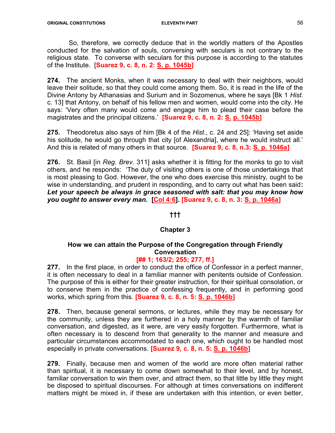So, therefore, we correctly deduce that in the worldly matters of the Apostles conducted for the salvation of souls, conversing with seculars is not contrary to the religious state. To converse with seculars for this purpose is according to the statutes of the Institute. [Suarez 9, c. 8, n. 2: S. p. 1045b]

274. The ancient Monks, when it was necessary to deal with their neighbors, would leave their solitude, so that they could come among them. So, it is read in the life of the Divine Antony by Athanasias and Surium and in Sozomenus, where he says [Bk 1 Hist. c. 13] that Antony, on behalf of his fellow men and women, would come into the city. He says: 'Very often many would come and engage him to plead their case before the magistrates and the principal citizens.' [Suarez 9, c. 8, n. 2: S. p. 1045b]

275. Theodoretus also says of him [Bk 4 of the Hist., c. 24 and 25]: 'Having set aside his solitude, he would go through that city [of Alexandria], where he would instruct all.' And this is related of many others in that source. **[Suarez 9, c. 8, n.3: S. p. 1046a]** 

276. St. Basil [in Reg. Brev. 311] asks whether it is fitting for the monks to go to visit others, and he responds: 'The duty of visiting others is one of those undertakings that is most pleasing to God. However, the one who does exercise this ministry, ought to be wise in understanding, and prudent in responding, and to carry out what has been said: Let your speech be always in grace seasoned with salt: that you may know how you ought to answer every man. [Col 4:6]. [Suarez 9, c. 8, n. 3: S. p. 1046a]

#### †††

# Chapter 3

# How we can attain the Purpose of the Congregation through Friendly Conversation

# [## 1; 163/2; 255; 277, ff.]

277. In the first place, in order to conduct the office of Confessor in a perfect manner, it is often necessary to deal in a familiar manner with penitents outside of Confession. The purpose of this is either for their greater instruction, for their spiritual consolation, or to conserve them in the practice of confessing frequently, and in performing good works, which spring from this. [Suarez 9, c. 8, n. 5: S. p. 1046b]

278. Then, because general sermons, or lectures, while they may be necessary for the community, unless they are furthered in a holy manner by the warmth of familiar conversation, and digested, as it were, are very easily forgotten. Furthermore, what is often necessary is to descend from that generality to the manner and measure and particular circumstances accommodated to each one, which ought to be handled most especially in private conversations. [Suarez 9, c. 8, n. 5: S. p. 1046b]

279. Finally, because men and women of the world are more often material rather than spiritual, it is necessary to come down somewhat to their level, and by honest, familiar conversation to win them over, and attract them, so that little by little they might be disposed to spiritual discourses. For although at times conversations on indifferent matters might be mixed in, if these are undertaken with this intention, or even better,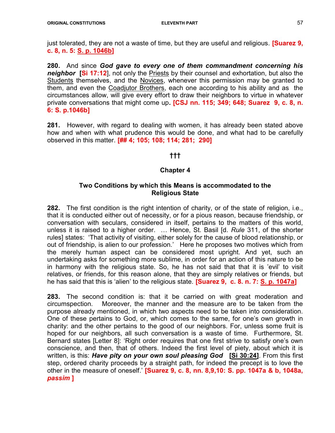just tolerated, they are not a waste of time, but they are useful and religious. **[Suarez 9,** c. 8, n. 5: S. p. 1046b]

280. And since God gave to every one of them commandment concerning his neighbor [Si 17:12], not only the Priests by their counsel and exhortation, but also the Students themselves, and the Novices, whenever this permission may be granted to them, and even the Coadjutor Brothers, each one according to his ability and as the circumstances allow, will give every effort to draw their neighbors to virtue in whatever private conversations that might come up. **[CSJ nn. 115; 349; 648; Suarez 9, c. 8, n.** 6: S. p.1046b]

281. However, with regard to dealing with women, it has already been stated above how and when with what prudence this would be done, and what had to be carefully observed in this matter. [## 4; 105; 108; 114; 281; 290]

# †††

# Chapter 4

#### Two Conditions by which this Means is accommodated to the Religious State

282. The first condition is the right intention of charity, or of the state of religion, i.e., that it is conducted either out of necessity, or for a pious reason, because friendship, or conversation with seculars, considered in itself, pertains to the matters of this world, unless it is raised to a higher order. ... Hence, St. Basil [d. Rule 311, of the shorter rules] states: 'That activity of visiting, either solely for the cause of blood relationship, or out of friendship, is alien to our profession.' Here he proposes two motives which from the merely human aspect can be considered most upright. And yet, such an undertaking asks for something more sublime, in order for an action of this nature to be in harmony with the religious state. So, he has not said that that it is 'evil' to visit relatives, or friends, for this reason alone, that they are simply relatives or friends, but he has said that this is 'alien' to the religious state. **[Suarez 9, c. 8. n. 7: S. p. 1047a]** 

283. The second condition is: that it be carried on with great moderation and circumspection. Moreover, the manner and the measure are to be taken from the purpose already mentioned, in which two aspects need to be taken into consideration. One of these pertains to God, or, which comes to the same, for one's own growth in charity: and the other pertains to the good of our neighbors. For, unless some fruit is hoped for our neighbors, all such conversation is a waste of time. Furthermore, St. Bernard states [Letter 8]: 'Right order requires that one first strive to satisfy one's own conscience, and then, that of others. Indeed the first level of piety, about which it is written, is this: Have pity on your own soul pleasing God [Si 30:24]. From this first step, ordered charity proceeds by a straight path, for indeed the precept is to love the other in the measure of oneself.'  $Su$ arez 9, c. 8, nn. 8,9,10: S. pp. 1047a & b, 1048a, passim ]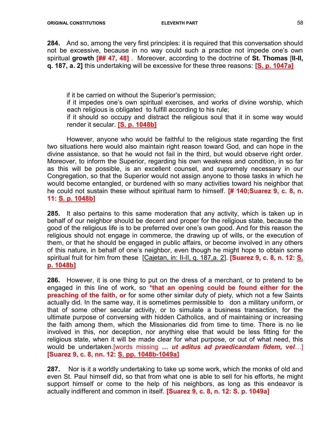284. And so, among the very first principles: it is required that this conversation should not be excessive, because in no way could such a practice not impede one's own spiritual growth [## 47, 48] Moreover, according to the doctrine of St. Thomas [II-II, q. 187, a. 2] this undertaking will be excessive for these three reasons: [S. p. 1047a]

if it be carried on without the Superior's permission;

if it impedes one's own spiritual exercises, and works of divine worship, which each religious is obligated to fulfill according to his rule;

if it should so occupy and distract the religious soul that it in some way would render it secular. **[S. p. 1048b]** 

However, anyone who would be faithful to the religious state regarding the first two situations here would also maintain right reason toward God, and can hope in the divine assistance, so that he would not fail in the third, but would observe right order. Moreover, to inform the Superior, regarding his own weakness and condition, in so far as this will be possible, is an excellent counsel, and supremely necessary in our Congregation, so that the Superior would not assign anyone to those tasks in which he would become entangled, or burdened with so many activities toward his neighbor that he could not sustain these without spiritual harm to himself. **[# 140;Suarez 9, c. 8, n.** 11: S. p. 1048b]

285. It also pertains to this same moderation that any activity, which is taken up in behalf of our neighbor should be decent and proper for the religious state, because the good of the religious life is to be preferred over one's own good. And for this reason the religious should not engage in commerce, the drawing up of wills, or the execution of them, or that he should be engaged in public affairs, or become involved in any others of this nature, in behalf of one's neighbor, even though he might hope to obtain some spiritual fruit for him from these [Cajetan, in: II-II, q. 187, a. 2]. **[Suarez 9, c. 8, n. 12: S.** p. 1048b]

286. However, it is one thing to put on the dress of a merchant, or to pretend to be engaged in this line of work, so \*that an opening could be found either for the **preaching of the faith, or** for some other similar duty of piety, which not a few Saints actually did. In the same way, it is sometimes permissible to don a military uniform, or that of some other secular activity, or to simulate a business transaction, for the ultimate purpose of conversing with hidden Catholics, and of maintaining or increasing the faith among them, which the Missionaries did from time to time. There is no lie involved in this, nor deception, nor anything else that would be less fitting for the religious state, when it will be made clear for what purpose, or out of what need, this would be undertaken.[words missing ... *ut aditus ad praedicandam fidem, vel...*] [Suarez 9, c. 8, nn. 12: S. pp. 1048b-1049a]

287. Nor is it a worldly undertaking to take up some work, which the monks of old and even St. Paul himself did, so that from what one is able to sell for his efforts, he might support himself or come to the help of his neighbors, as long as this endeavor is actually indifferent and common in itself. [Suarez 9, c. 8, n. 12: S. p. 1049a]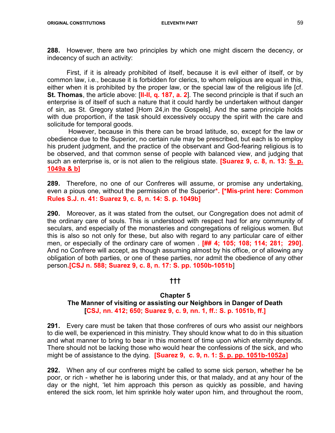288. However, there are two principles by which one might discern the decency, or indecency of such an activity:

 First, if it is already prohibited of itself, because it is evil either of itself, or by common law, i.e., because it is forbidden for clerics, to whom religious are equal in this, either when it is prohibited by the proper law, or the special law of the religious life [cf. St. Thomas, the article above: [II-II, q. 187, a. 2]. The second principle is that if such an enterprise is of itself of such a nature that it could hardly be undertaken without danger of sin, as St. Gregory stated [Hom 24,in the Gospels]. And the same principle holds with due proportion, if the task should excessively occupy the spirit with the care and solicitude for temporal goods.

 However, because in this there can be broad latitude, so, except for the law or obedience due to the Superior, no certain rule may be prescribed, but each is to employ his prudent judgment, and the practice of the observant and God-fearing religious is to be observed, and that common sense of people with balanced view, and judging that such an enterprise is, or is not alien to the religious state. **[Suarez 9, c. 8, n. 13: S. p.** 1049a & b]

289. Therefore, no one of our Confreres will assume, or promise any undertaking, even a pious one, without the permission of the Superior\*. [\*Mis-print here: Common Rules S.J. n. 41: Suarez 9, c. 8, n. 14: S. p. 1049b]

290. Moreover, as it was stated from the outset, our Congregation does not admit of the ordinary care of souls. This is understood with respect had for any community of seculars, and especially of the monasteries and congregations of religious women. But this is also so not only for these, but also with regard to any particular care of either men, or especially of the ordinary care of women . [## 4; 105; 108; 114; 281; 290]. And no Confrere will accept, as though assuming almost by his office, or of allowing any obligation of both parties, or one of these parties, nor admit the obedience of any other person.[CSJ n. 588; Suarez 9, c. 8, n. 17: S. pp. 1050b-1051b]

#### †††

#### Chapter 5

#### The Manner of visiting or assisting our Neighbors in Danger of Death [CSJ, nn. 412; 650; Suarez 9, c. 9, nn. 1, ff.: S. p. 1051b, ff.]

291. Every care must be taken that those confreres of ours who assist our neighbors to die well, be experienced in this ministry. They should know what to do in this situation and what manner to bring to bear in this moment of time upon which eternity depends. There should not be lacking those who would hear the confessions of the sick, and who might be of assistance to the dying. **[Suarez 9, c. 9, n. 1: S. p. pp. 1051b-1052a]** 

292. When any of our confreres might be called to some sick person, whether he be poor, or rich - whether he is laboring under this, or that malady, and at any hour of the day or the night, 'let him approach this person as quickly as possible, and having entered the sick room, let him sprinkle holy water upon him, and throughout the room,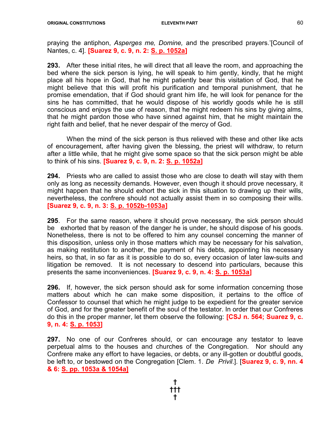praying the antiphon, Asperges me, Domine, and the prescribed prayers.'[Council of Nantes, c. 4]. [Suarez 9, c. 9, n. 2: S. p. 1052a]

293. After these initial rites, he will direct that all leave the room, and approaching the bed where the sick person is lying, he will speak to him gently, kindly, that he might place all his hope in God, that he might patiently bear this visitation of God, that he might believe that this will profit his purification and temporal punishment, that he promise emendation, that if God should grant him life, he will look for penance for the sins he has committed, that he would dispose of his worldly goods while he is still conscious and enjoys the use of reason, that he might redeem his sins by giving alms, that he might pardon those who have sinned against him, that he might maintain the right faith and belief, that he never despair of the mercy of God.

 When the mind of the sick person is thus relieved with these and other like acts of encouragement, after having given the blessing, the priest will withdraw, to return after a little while, that he might give some space so that the sick person might be able to think of his sins. [Suarez 9, c. 9, n. 2: S. p. 1052a]

294. Priests who are called to assist those who are close to death will stay with them only as long as necessity demands. However, even though it should prove necessary, it might happen that he should exhort the sick in this situation to drawing up their wills, nevertheless, the confrere should not actually assist them in so composing their wills. [Suarez 9, c. 9, n. 3: S. p. 1052b-1053a]

295. For the same reason, where it should prove necessary, the sick person should be exhorted that by reason of the danger he is under, he should dispose of his goods. Nonetheless, there is not to be offered to him any counsel concerning the manner of this disposition, unless only in those matters which may be necessary for his salvation, as making restitution to another, the payment of his debts, appointing his necessary heirs, so that, in so far as it is possible to do so, every occasion of later law-suits and litigation be removed. It is not necessary to descend into particulars, because this presents the same inconveniences. [Suarez 9, c. 9, n. 4: S. p. 1053a]

296. If, however, the sick person should ask for some information concerning those matters about which he can make some disposition, it pertains to the office of Confessor to counsel that which he might judge to be expedient for the greater service of God, and for the greater benefit of the soul of the testator. In order that our Confreres do this in the proper manner, let them observe the following: **[CSJ n. 564; Suarez 9, c.** 9, n. 4: S. p. 1053]

297. No one of our Confreres should, or can encourage any testator to leave perpetual alms to the houses and churches of the Congregation. Nor should any Confrere make any effort to have legacies, or debts, or any ill-gotten or doubtful goods, be left to, or bestowed on the Congregation [Clem. 1. De Privil.]. [Suarez 9, c. 9, nn. 4 & 6: S. pp. 1053a & 1054a]

> † ††† †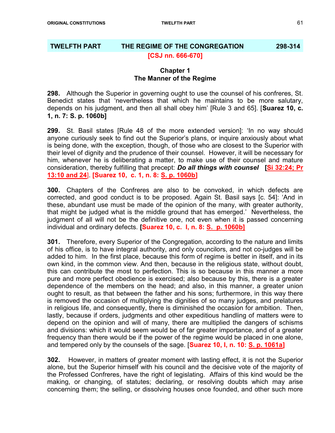# TWELFTH PART THE REGIME OF THE CONGREGATION 298-314 [CSJ nn. 666-670]

#### Chapter 1 The Manner of the Regime

298. Although the Superior in governing ought to use the counsel of his confreres, St. Benedict states that 'nevertheless that which he maintains to be more salutary, depends on his judgment, and then all shall obey him' [Rule 3 and 65]. [Suarez 10, c. 1, n. 7: S. p. 1060b]

299. St. Basil states [Rule 48 of the more extended version]: 'In no way should anyone curiously seek to find out the Superior's plans, or inquire anxiously about what is being done, with the exception, though, of those who are closest to the Superior with their level of dignity and the prudence of their counsel. However, it will be necessary for him, whenever he is deliberating a matter, to make use of their counsel and mature consideration, thereby fulfilling that precept: **Do all things with counsel** [Si 32:24; Pr 13:10 and 24]. [Suarez 10, c. 1, n. 8: S. p. 1060b]

300. Chapters of the Confreres are also to be convoked, in which defects are corrected, and good conduct is to be proposed. Again St. Basil says [c. 54]: 'And in these, abundant use must be made of the opinion of the many, with greater authority, that might be judged what is the middle ground that has emerged.' Nevertheless, the judgment of all will not be the definitive one, not even when it is passed concerning individual and ordinary defects. [Suarez 10, c. I, n. 8: S. p. 1060b]

301. Therefore, every Superior of the Congregation, according to the nature and limits of his office, is to have integral authority, and only councilors, and not co-judges will be added to him. In the first place, because this form of regime is better in itself, and in its own kind, in the common view. And then, because in the religious state, without doubt, this can contribute the most to perfection. This is so because in this manner a more pure and more perfect obedience is exercised; also because by this, there is a greater dependence of the members on the head; and also, in this manner, a greater union ought to result, as that between the father and his sons; furthermore, in this way there is removed the occasion of multiplying the dignities of so many judges, and prelatures in religious life, and consequently, there is diminished the occasion for ambition. Then, lastly, because if orders, judgments and other expeditious handling of matters were to depend on the opinion and will of many, there are multiplied the dangers of schisms and divisions: which it would seem would be of far greater importance, and of a greater frequency than there would be if the power of the regime would be placed in one alone, and tempered only by the counsels of the sage. **[Suarez 10, I, n. 10: S. p. 1061a]** 

302. However, in matters of greater moment with lasting effect, it is not the Superior alone, but the Superior himself with his council and the decisive vote of the majority of the Professed Confreres, have the right of legislating. Affairs of this kind would be the making, or changing, of statutes; declaring, or resolving doubts which may arise concerning them; the selling, or dissolving houses once founded, and other such more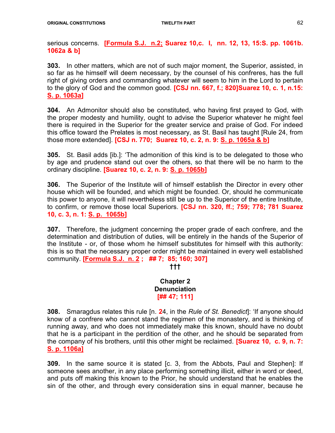serious concerns. [Formula S.J. n.2; Suarez 10,c. I, nn. 12, 13, 15:S. pp. 1061b. 1062a & b]

303. In other matters, which are not of such major moment, the Superior, assisted, in so far as he himself will deem necessary, by the counsel of his confreres, has the full right of giving orders and commanding whatever will seem to him in the Lord to pertain to the glory of God and the common good. **[CSJ nn. 667, f.: 820]Suarez 10, c. 1, n.15:** S. p. 1063a]

304. An Admonitor should also be constituted, who having first prayed to God, with the proper modesty and humility, ought to advise the Superior whatever he might feel there is required in the Superior for the greater service and praise of God. For indeed this office toward the Prelates is most necessary, as St. Basil has taught [Rule 24, from those more extended]. [CSJ n. 770; Suarez 10, c. 2, n. 9: S. p. 1065a & b]

305. St. Basil adds [ib.]: 'The admonition of this kind is to be delegated to those who by age and prudence stand out over the others, so that there will be no harm to the ordinary discipline. [Suarez 10, c. 2, n. 9: S. p. 1065b]

306. The Superior of the Institute will of himself establish the Director in every other house which will be founded, and which might be founded. Or, should he communicate this power to anyone, it will nevertheless still be up to the Superior of the entire Institute, to confirm, or remove those local Superiors. [CSJ nn. 320, ff.; 759; 778; 781 Suarez 10, c. 3, n. 1: S. p. 1065b]

307. Therefore, the judgment concerning the proper grade of each confrere, and the determination and distribution of duties, will be entirely in the hands of the Superior of the Institute - or, of those whom he himself substitutes for himself with this authority: this is so that the necessary proper order might be maintained in every well established community. [Formula S.J. n. 2 ; ## 7; 85; 160; 307]

†††

Chapter 2 **Denunciation** [## 47; 111]

**308.** Smaragdus relates this rule [n. 24, in the Rule of St. Benedict]: 'If anyone should know of a confrere who cannot stand the regimen of the monastery, and is thinking of running away, and who does not immediately make this known, should have no doubt that he is a participant in the perdition of the other, and he should be separated from the company of his brothers, until this other might be reclaimed. **[Suarez 10, c. 9, n. 7:** S. p. 1106a]

309. In the same source it is stated [c. 3, from the Abbots, Paul and Stephen]: If someone sees another, in any place performing something illicit, either in word or deed, and puts off making this known to the Prior, he should understand that he enables the sin of the other, and through every consideration sins in equal manner, because he